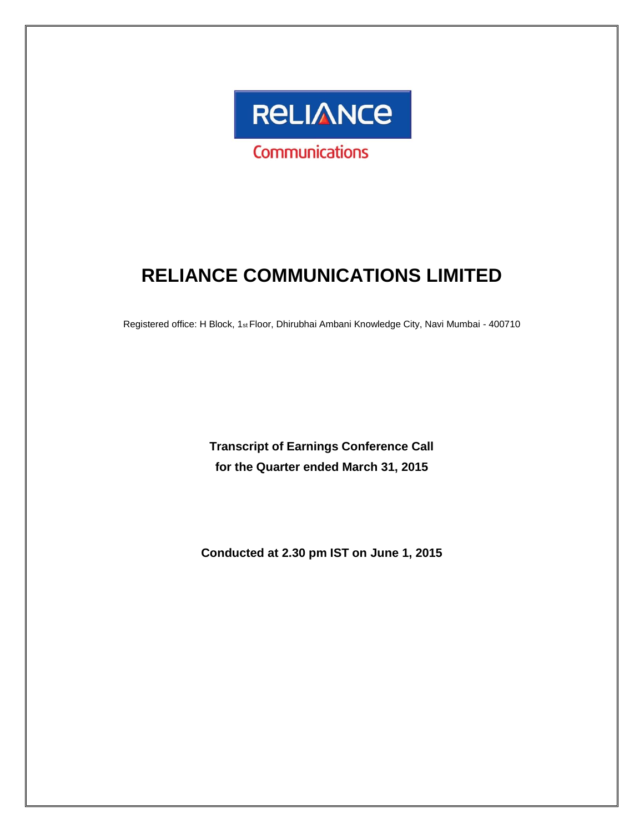

# **RELIANCE COMMUNICATIONS LIMITED**

Registered office: H Block, 1st Floor, Dhirubhai Ambani Knowledge City, Navi Mumbai - 400710

**Transcript of Earnings Conference Call for the Quarter ended March 31, 2015**

**Conducted at 2.30 pm IST on June 1, 2015**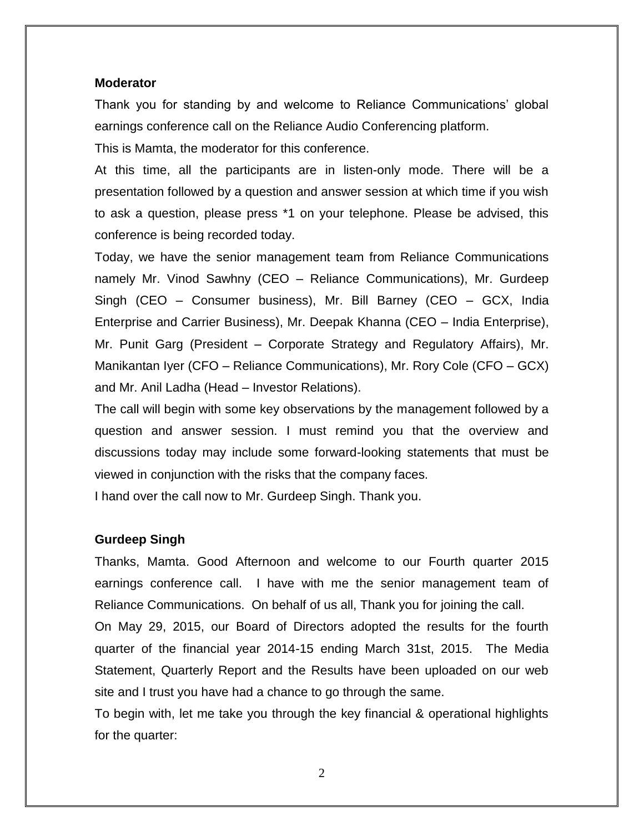#### **Moderator**

Thank you for standing by and welcome to Reliance Communications' global earnings conference call on the Reliance Audio Conferencing platform.

This is Mamta, the moderator for this conference.

At this time, all the participants are in listen-only mode. There will be a presentation followed by a question and answer session at which time if you wish to ask a question, please press \*1 on your telephone. Please be advised, this conference is being recorded today.

Today, we have the senior management team from Reliance Communications namely Mr. Vinod Sawhny (CEO – Reliance Communications), Mr. Gurdeep Singh (CEO – Consumer business), Mr. Bill Barney (CEO – GCX, India Enterprise and Carrier Business), Mr. Deepak Khanna (CEO – India Enterprise), Mr. Punit Garg (President – Corporate Strategy and Regulatory Affairs), Mr. Manikantan Iyer (CFO – Reliance Communications), Mr. Rory Cole (CFO – GCX) and Mr. Anil Ladha (Head – Investor Relations).

The call will begin with some key observations by the management followed by a question and answer session. I must remind you that the overview and discussions today may include some forward-looking statements that must be viewed in conjunction with the risks that the company faces.

I hand over the call now to Mr. Gurdeep Singh. Thank you.

#### **Gurdeep Singh**

Thanks, Mamta. Good Afternoon and welcome to our Fourth quarter 2015 earnings conference call. I have with me the senior management team of Reliance Communications. On behalf of us all, Thank you for joining the call.

On May 29, 2015, our Board of Directors adopted the results for the fourth quarter of the financial year 2014-15 ending March 31st, 2015. The Media Statement, Quarterly Report and the Results have been uploaded on our web site and I trust you have had a chance to go through the same.

To begin with, let me take you through the key financial & operational highlights for the quarter:

2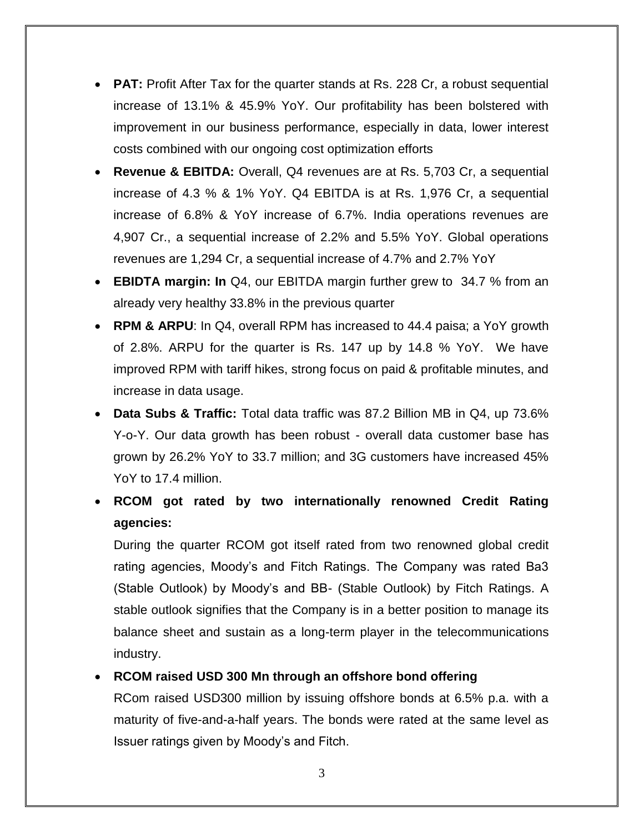- **PAT:** Profit After Tax for the quarter stands at Rs. 228 Cr, a robust sequential increase of 13.1% & 45.9% YoY. Our profitability has been bolstered with improvement in our business performance, especially in data, lower interest costs combined with our ongoing cost optimization efforts
- **Revenue & EBITDA:** Overall, Q4 revenues are at Rs. 5,703 Cr, a sequential increase of 4.3 % & 1% YoY. Q4 EBITDA is at Rs. 1,976 Cr, a sequential increase of 6.8% & YoY increase of 6.7%. India operations revenues are 4,907 Cr., a sequential increase of 2.2% and 5.5% YoY. Global operations revenues are 1,294 Cr, a sequential increase of 4.7% and 2.7% YoY
- **EBIDTA margin: In** Q4, our EBITDA margin further grew to 34.7 % from an already very healthy 33.8% in the previous quarter
- **RPM & ARPU**: In Q4, overall RPM has increased to 44.4 paisa; a YoY growth of 2.8%. ARPU for the quarter is Rs. 147 up by 14.8 % YoY. We have improved RPM with tariff hikes, strong focus on paid & profitable minutes, and increase in data usage.
- **Data Subs & Traffic:** Total data traffic was 87.2 Billion MB in Q4, up 73.6% Y-o-Y. Our data growth has been robust - overall data customer base has grown by 26.2% YoY to 33.7 million; and 3G customers have increased 45% YoY to 17.4 million.
- **RCOM got rated by two internationally renowned Credit Rating agencies:**

During the quarter RCOM got itself rated from two renowned global credit rating agencies, Moody's and Fitch Ratings. The Company was rated Ba3 (Stable Outlook) by Moody's and BB- (Stable Outlook) by Fitch Ratings. A stable outlook signifies that the Company is in a better position to manage its balance sheet and sustain as a long-term player in the telecommunications industry.

# **RCOM raised USD 300 Mn through an offshore bond offering**

RCom raised USD300 million by issuing offshore bonds at 6.5% p.a. with a maturity of five-and-a-half years. The bonds were rated at the same level as Issuer ratings given by Moody's and Fitch.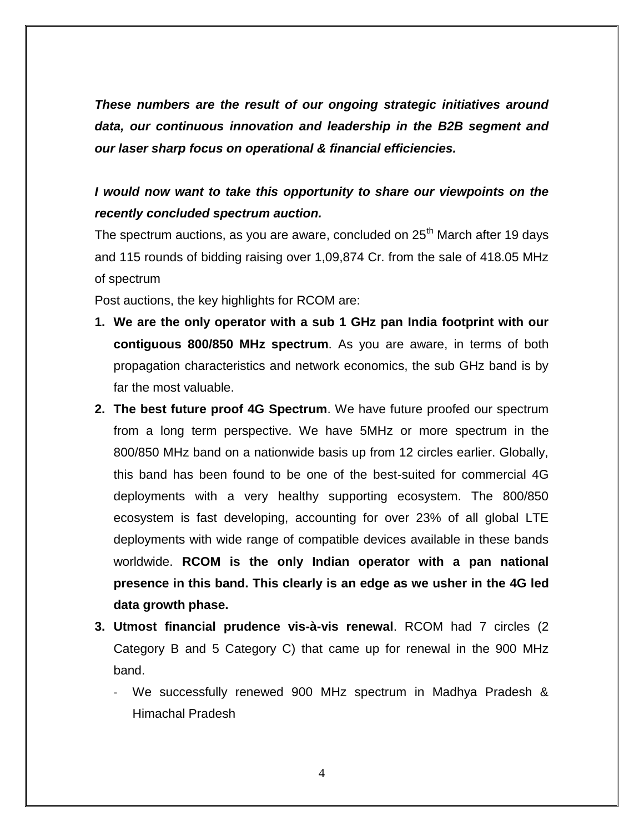*These numbers are the result of our ongoing strategic initiatives around data, our continuous innovation and leadership in the B2B segment and our laser sharp focus on operational & financial efficiencies.*

# *I* would now want to take this opportunity to share our viewpoints on the *recently concluded spectrum auction.*

The spectrum auctions, as you are aware, concluded on  $25<sup>th</sup>$  March after 19 days and 115 rounds of bidding raising over 1,09,874 Cr. from the sale of 418.05 MHz of spectrum

Post auctions, the key highlights for RCOM are:

- **1. We are the only operator with a sub 1 GHz pan India footprint with our contiguous 800/850 MHz spectrum**. As you are aware, in terms of both propagation characteristics and network economics, the sub GHz band is by far the most valuable.
- **2. The best future proof 4G Spectrum**. We have future proofed our spectrum from a long term perspective. We have 5MHz or more spectrum in the 800/850 MHz band on a nationwide basis up from 12 circles earlier. Globally, this band has been found to be one of the best-suited for commercial 4G deployments with a very healthy supporting ecosystem. The 800/850 ecosystem is fast developing, accounting for over 23% of all global LTE deployments with wide range of compatible devices available in these bands worldwide. **RCOM is the only Indian operator with a pan national presence in this band. This clearly is an edge as we usher in the 4G led data growth phase.**
- **3. Utmost financial prudence vis-à-vis renewal**. RCOM had 7 circles (2 Category B and 5 Category C) that came up for renewal in the 900 MHz band.
	- We successfully renewed 900 MHz spectrum in Madhya Pradesh & Himachal Pradesh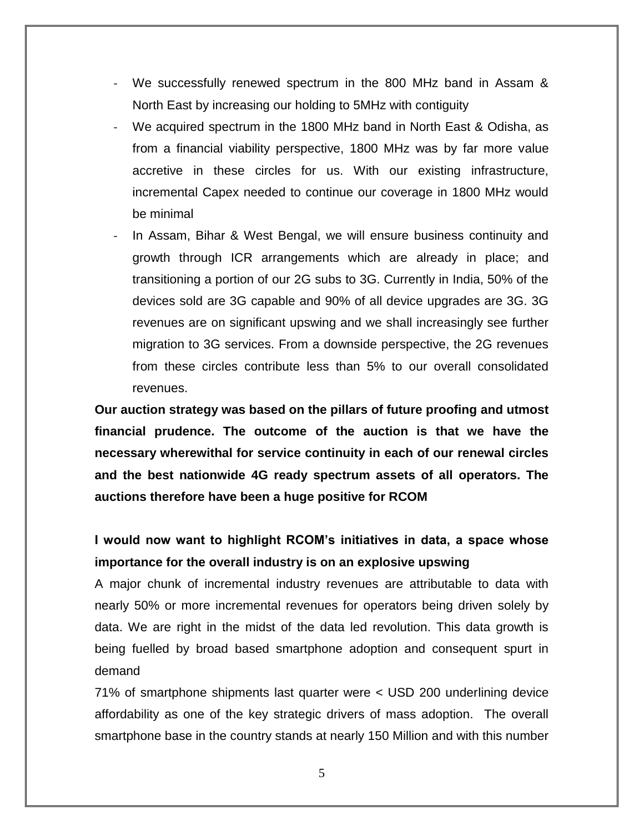- We successfully renewed spectrum in the 800 MHz band in Assam & North East by increasing our holding to 5MHz with contiguity
- We acquired spectrum in the 1800 MHz band in North East & Odisha, as from a financial viability perspective, 1800 MHz was by far more value accretive in these circles for us. With our existing infrastructure, incremental Capex needed to continue our coverage in 1800 MHz would be minimal
- In Assam, Bihar & West Bengal, we will ensure business continuity and growth through ICR arrangements which are already in place; and transitioning a portion of our 2G subs to 3G. Currently in India, 50% of the devices sold are 3G capable and 90% of all device upgrades are 3G. 3G revenues are on significant upswing and we shall increasingly see further migration to 3G services. From a downside perspective, the 2G revenues from these circles contribute less than 5% to our overall consolidated revenues.

**Our auction strategy was based on the pillars of future proofing and utmost financial prudence. The outcome of the auction is that we have the necessary wherewithal for service continuity in each of our renewal circles and the best nationwide 4G ready spectrum assets of all operators. The auctions therefore have been a huge positive for RCOM**

# **I would now want to highlight RCOM's initiatives in data, a space whose importance for the overall industry is on an explosive upswing**

A major chunk of incremental industry revenues are attributable to data with nearly 50% or more incremental revenues for operators being driven solely by data. We are right in the midst of the data led revolution. This data growth is being fuelled by broad based smartphone adoption and consequent spurt in demand

71% of smartphone shipments last quarter were < USD 200 underlining device affordability as one of the key strategic drivers of mass adoption. The overall smartphone base in the country stands at nearly 150 Million and with this number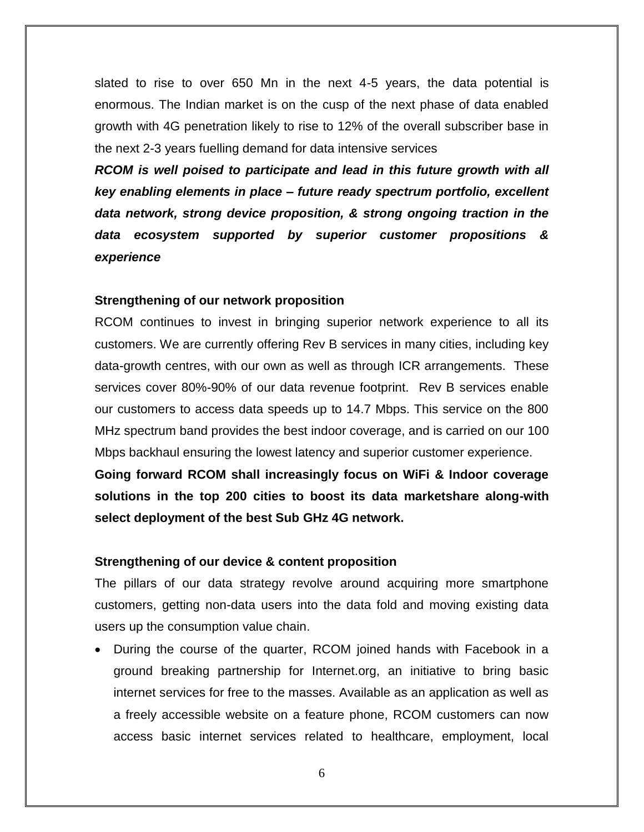slated to rise to over 650 Mn in the next 4-5 years, the data potential is enormous. The Indian market is on the cusp of the next phase of data enabled growth with 4G penetration likely to rise to 12% of the overall subscriber base in the next 2-3 years fuelling demand for data intensive services

*RCOM is well poised to participate and lead in this future growth with all key enabling elements in place – future ready spectrum portfolio, excellent data network, strong device proposition, & strong ongoing traction in the data ecosystem supported by superior customer propositions & experience*

#### **Strengthening of our network proposition**

RCOM continues to invest in bringing superior network experience to all its customers. We are currently offering Rev B services in many cities, including key data-growth centres, with our own as well as through ICR arrangements. These services cover 80%-90% of our data revenue footprint. Rev B services enable our customers to access data speeds up to 14.7 Mbps. This service on the 800 MHz spectrum band provides the best indoor coverage, and is carried on our 100 Mbps backhaul ensuring the lowest latency and superior customer experience.

**Going forward RCOM shall increasingly focus on WiFi & Indoor coverage solutions in the top 200 cities to boost its data marketshare along-with select deployment of the best Sub GHz 4G network.**

#### **Strengthening of our device & content proposition**

The pillars of our data strategy revolve around acquiring more smartphone customers, getting non-data users into the data fold and moving existing data users up the consumption value chain.

 During the course of the quarter, RCOM joined hands with Facebook in a ground breaking partnership for Internet.org, an initiative to bring basic internet services for free to the masses. Available as an application as well as a freely accessible website on a feature phone, RCOM customers can now access basic internet services related to healthcare, employment, local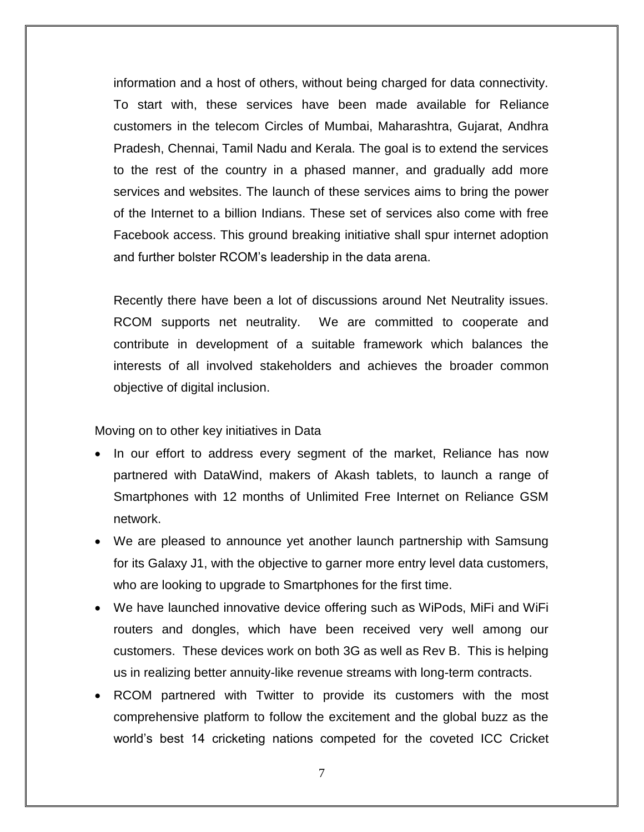information and a host of others, without being charged for data connectivity. To start with, these services have been made available for Reliance customers in the telecom Circles of Mumbai, Maharashtra, Gujarat, Andhra Pradesh, Chennai, Tamil Nadu and Kerala. The goal is to extend the services to the rest of the country in a phased manner, and gradually add more services and websites. The launch of these services aims to bring the power of the Internet to a billion Indians. These set of services also come with free Facebook access. This ground breaking initiative shall spur internet adoption and further bolster RCOM's leadership in the data arena.

Recently there have been a lot of discussions around Net Neutrality issues. RCOM supports net neutrality. We are committed to cooperate and contribute in development of a suitable framework which balances the interests of all involved stakeholders and achieves the broader common objective of digital inclusion.

Moving on to other key initiatives in Data

- In our effort to address every segment of the market, Reliance has now partnered with DataWind, makers of Akash tablets, to launch a range of Smartphones with 12 months of Unlimited Free Internet on Reliance GSM network.
- We are pleased to announce yet another launch partnership with Samsung for its Galaxy J1, with the objective to garner more entry level data customers, who are looking to upgrade to Smartphones for the first time.
- We have launched innovative device offering such as WiPods, MiFi and WiFi routers and dongles, which have been received very well among our customers. These devices work on both 3G as well as Rev B. This is helping us in realizing better annuity-like revenue streams with long-term contracts.
- RCOM partnered with Twitter to provide its customers with the most comprehensive platform to follow the excitement and the global buzz as the world's best 14 cricketing nations competed for the coveted ICC Cricket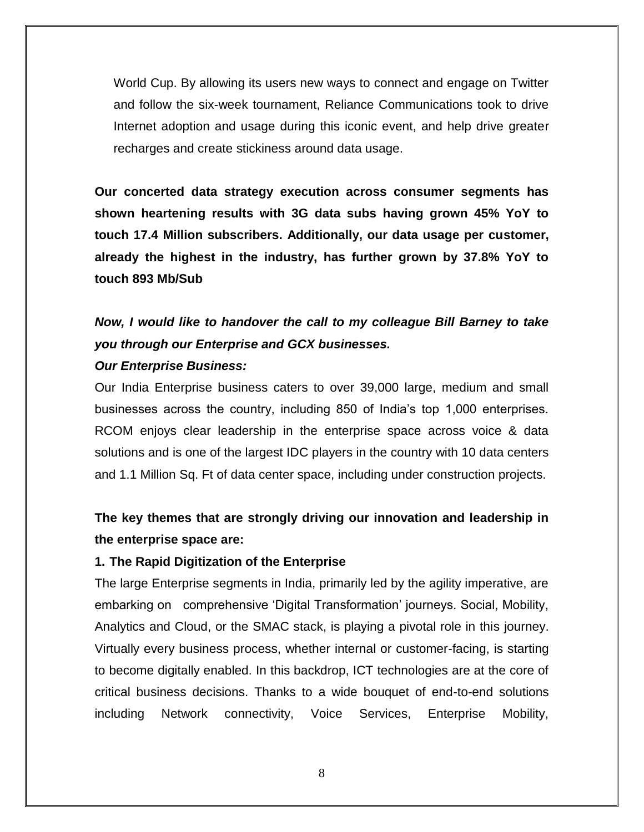World Cup. By allowing its users new ways to connect and engage on Twitter and follow the six-week tournament, Reliance Communications took to drive Internet adoption and usage during this iconic event, and help drive greater recharges and create stickiness around data usage.

**Our concerted data strategy execution across consumer segments has shown heartening results with 3G data subs having grown 45% YoY to touch 17.4 Million subscribers. Additionally, our data usage per customer, already the highest in the industry, has further grown by 37.8% YoY to touch 893 Mb/Sub**

# *Now, I would like to handover the call to my colleague Bill Barney to take you through our Enterprise and GCX businesses.*

#### *Our Enterprise Business:*

Our India Enterprise business caters to over 39,000 large, medium and small businesses across the country, including 850 of India's top 1,000 enterprises. RCOM enjoys clear leadership in the enterprise space across voice & data solutions and is one of the largest IDC players in the country with 10 data centers and 1.1 Million Sq. Ft of data center space, including under construction projects.

# **The key themes that are strongly driving our innovation and leadership in the enterprise space are:**

#### **1. The Rapid Digitization of the Enterprise**

The large Enterprise segments in India, primarily led by the agility imperative, are embarking on comprehensive 'Digital Transformation' journeys. Social, Mobility, Analytics and Cloud, or the SMAC stack, is playing a pivotal role in this journey. Virtually every business process, whether internal or customer-facing, is starting to become digitally enabled. In this backdrop, ICT technologies are at the core of critical business decisions. Thanks to a wide bouquet of end-to-end solutions including Network connectivity, Voice Services, Enterprise Mobility,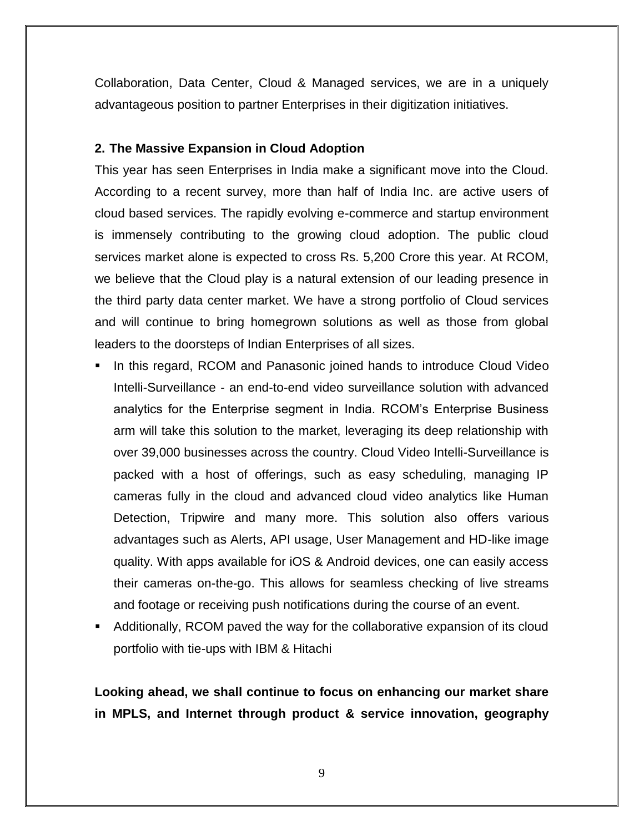Collaboration, Data Center, Cloud & Managed services, we are in a uniquely advantageous position to partner Enterprises in their digitization initiatives.

#### **2. The Massive Expansion in Cloud Adoption**

This year has seen Enterprises in India make a significant move into the Cloud. According to a recent survey, more than half of India Inc. are active users of cloud based services. The rapidly evolving e-commerce and startup environment is immensely contributing to the growing cloud adoption. The public cloud services market alone is expected to cross Rs. 5,200 Crore this year. At RCOM, we believe that the Cloud play is a natural extension of our leading presence in the third party data center market. We have a strong portfolio of Cloud services and will continue to bring homegrown solutions as well as those from global leaders to the doorsteps of Indian Enterprises of all sizes.

- **IF In this regard, RCOM and Panasonic joined hands to introduce Cloud Video** Intelli-Surveillance - an end-to-end video surveillance solution with advanced analytics for the Enterprise segment in India. RCOM's Enterprise Business arm will take this solution to the market, leveraging its deep relationship with over 39,000 businesses across the country. Cloud Video Intelli-Surveillance is packed with a host of offerings, such as easy scheduling, managing IP cameras fully in the cloud and advanced cloud video analytics like Human Detection, Tripwire and many more. This solution also offers various advantages such as Alerts, API usage, User Management and HD-like image quality. With apps available for iOS & Android devices, one can easily access their cameras on-the-go. This allows for seamless checking of live streams and footage or receiving push notifications during the course of an event.
- Additionally, RCOM paved the way for the collaborative expansion of its cloud portfolio with tie-ups with IBM & Hitachi

**Looking ahead, we shall continue to focus on enhancing our market share in MPLS, and Internet through product & service innovation, geography**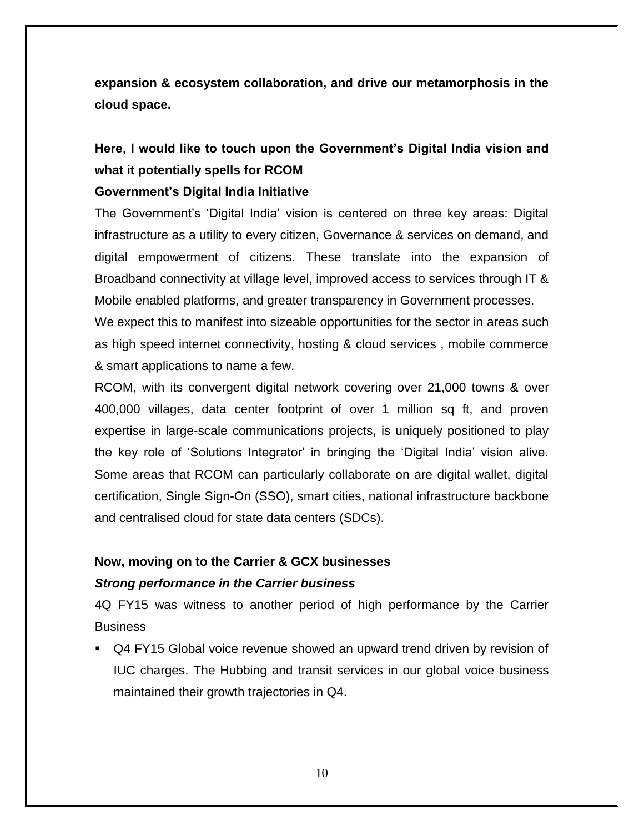**expansion & ecosystem collaboration, and drive our metamorphosis in the cloud space.** 

# **Here, I would like to touch upon the Government's Digital India vision and what it potentially spells for RCOM**

## **Government's Digital India Initiative**

The Government's 'Digital India' vision is centered on three key areas: Digital infrastructure as a utility to every citizen, Governance & services on demand, and digital empowerment of citizens. These translate into the expansion of Broadband connectivity at village level, improved access to services through IT & Mobile enabled platforms, and greater transparency in Government processes. We expect this to manifest into sizeable opportunities for the sector in areas such as high speed internet connectivity, hosting & cloud services , mobile commerce & smart applications to name a few.

RCOM, with its convergent digital network covering over 21,000 towns & over 400,000 villages, data center footprint of over 1 million sq ft, and proven expertise in large-scale communications projects, is uniquely positioned to play the key role of 'Solutions Integrator' in bringing the 'Digital India' vision alive. Some areas that RCOM can particularly collaborate on are digital wallet, digital certification, Single Sign-On (SSO), smart cities, national infrastructure backbone and centralised cloud for state data centers (SDCs).

#### **Now, moving on to the Carrier & GCX businesses**

#### *Strong performance in the Carrier business*

4Q FY15 was witness to another period of high performance by the Carrier **Business** 

 Q4 FY15 Global voice revenue showed an upward trend driven by revision of IUC charges. The Hubbing and transit services in our global voice business maintained their growth trajectories in Q4.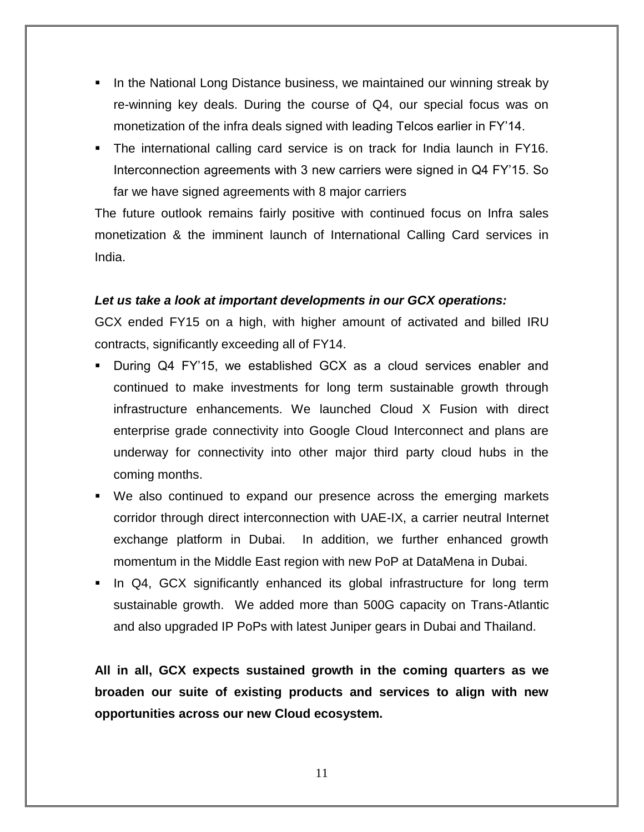- In the National Long Distance business, we maintained our winning streak by re-winning key deals. During the course of Q4, our special focus was on monetization of the infra deals signed with leading Telcos earlier in FY'14.
- The international calling card service is on track for India launch in FY16. Interconnection agreements with 3 new carriers were signed in Q4 FY'15. So far we have signed agreements with 8 major carriers

The future outlook remains fairly positive with continued focus on Infra sales monetization & the imminent launch of International Calling Card services in India.

## *Let us take a look at important developments in our GCX operations:*

GCX ended FY15 on a high, with higher amount of activated and billed IRU contracts, significantly exceeding all of FY14.

- During Q4 FY'15, we established GCX as a cloud services enabler and continued to make investments for long term sustainable growth through infrastructure enhancements. We launched Cloud X Fusion with direct enterprise grade connectivity into Google Cloud Interconnect and plans are underway for connectivity into other major third party cloud hubs in the coming months.
- We also continued to expand our presence across the emerging markets corridor through direct interconnection with UAE-IX, a carrier neutral Internet exchange platform in Dubai. In addition, we further enhanced growth momentum in the Middle East region with new PoP at DataMena in Dubai.
- In Q4, GCX significantly enhanced its global infrastructure for long term sustainable growth. We added more than 500G capacity on Trans-Atlantic and also upgraded IP PoPs with latest Juniper gears in Dubai and Thailand.

**All in all, GCX expects sustained growth in the coming quarters as we broaden our suite of existing products and services to align with new opportunities across our new Cloud ecosystem.**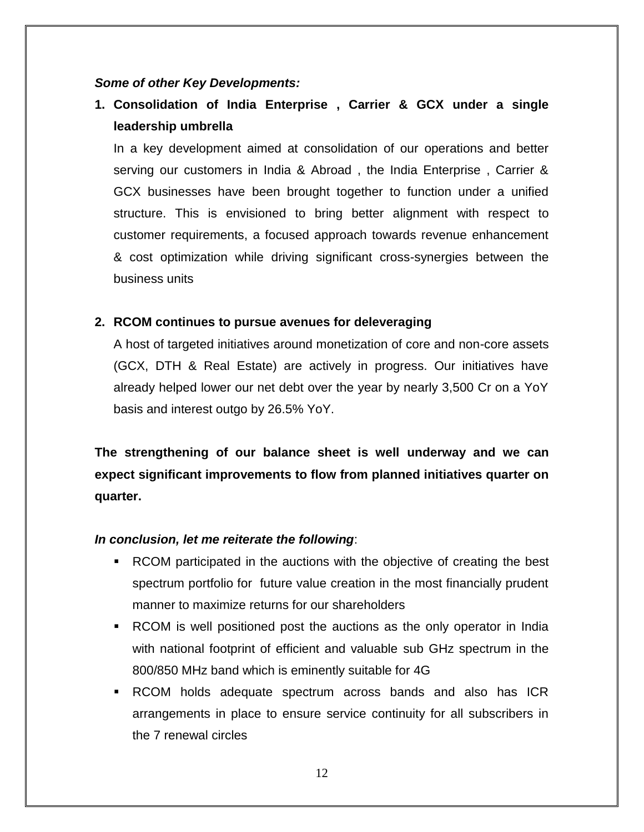#### *Some of other Key Developments:*

**1. Consolidation of India Enterprise , Carrier & GCX under a single leadership umbrella**

In a key development aimed at consolidation of our operations and better serving our customers in India & Abroad , the India Enterprise , Carrier & GCX businesses have been brought together to function under a unified structure. This is envisioned to bring better alignment with respect to customer requirements, a focused approach towards revenue enhancement & cost optimization while driving significant cross-synergies between the business units

#### **2. RCOM continues to pursue avenues for deleveraging**

A host of targeted initiatives around monetization of core and non-core assets (GCX, DTH & Real Estate) are actively in progress. Our initiatives have already helped lower our net debt over the year by nearly 3,500 Cr on a YoY basis and interest outgo by 26.5% YoY.

**The strengthening of our balance sheet is well underway and we can expect significant improvements to flow from planned initiatives quarter on quarter.** 

#### *In conclusion, let me reiterate the following*:

- RCOM participated in the auctions with the objective of creating the best spectrum portfolio for future value creation in the most financially prudent manner to maximize returns for our shareholders
- RCOM is well positioned post the auctions as the only operator in India with national footprint of efficient and valuable sub GHz spectrum in the 800/850 MHz band which is eminently suitable for 4G
- RCOM holds adequate spectrum across bands and also has ICR arrangements in place to ensure service continuity for all subscribers in the 7 renewal circles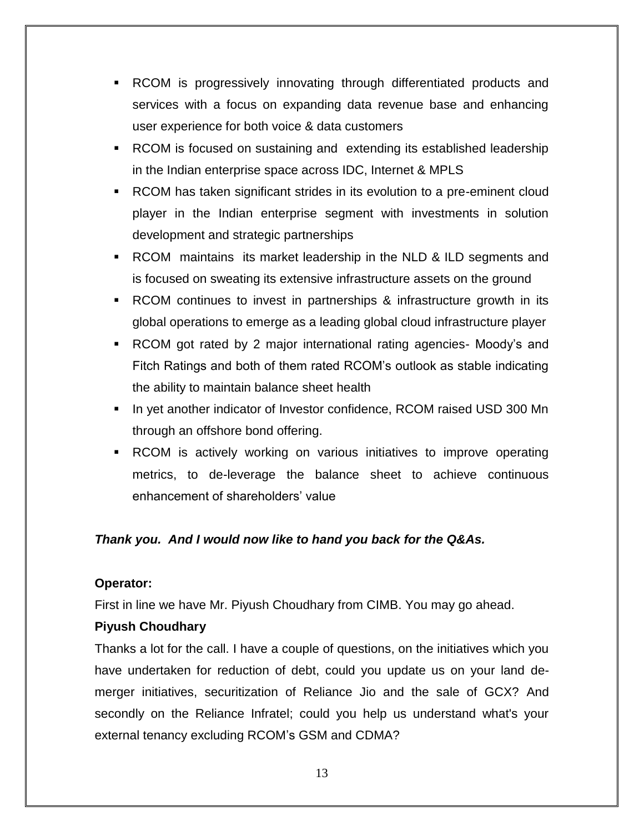- RCOM is progressively innovating through differentiated products and services with a focus on expanding data revenue base and enhancing user experience for both voice & data customers
- RCOM is focused on sustaining and extending its established leadership in the Indian enterprise space across IDC, Internet & MPLS
- RCOM has taken significant strides in its evolution to a pre-eminent cloud player in the Indian enterprise segment with investments in solution development and strategic partnerships
- RCOM maintains its market leadership in the NLD & ILD segments and is focused on sweating its extensive infrastructure assets on the ground
- RCOM continues to invest in partnerships & infrastructure growth in its global operations to emerge as a leading global cloud infrastructure player
- RCOM got rated by 2 major international rating agencies- Moody's and Fitch Ratings and both of them rated RCOM's outlook as stable indicating the ability to maintain balance sheet health
- In yet another indicator of Investor confidence, RCOM raised USD 300 Mn through an offshore bond offering.
- RCOM is actively working on various initiatives to improve operating metrics, to de-leverage the balance sheet to achieve continuous enhancement of shareholders' value

# *Thank you. And I would now like to hand you back for the Q&As.*

## **Operator:**

First in line we have Mr. Piyush Choudhary from CIMB. You may go ahead.

## **Piyush Choudhary**

Thanks a lot for the call. I have a couple of questions, on the initiatives which you have undertaken for reduction of debt, could you update us on your land demerger initiatives, securitization of Reliance Jio and the sale of GCX? And secondly on the Reliance Infratel; could you help us understand what's your external tenancy excluding RCOM's GSM and CDMA?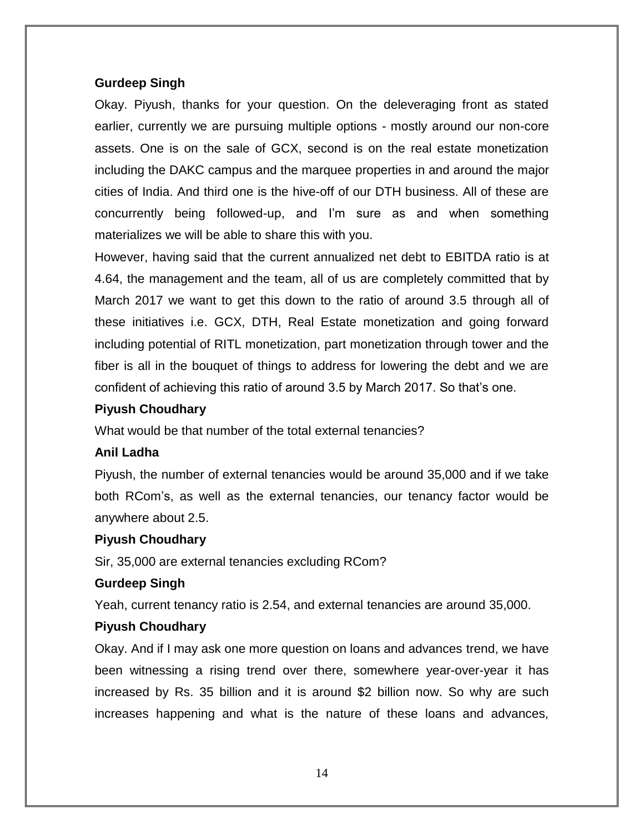#### **Gurdeep Singh**

Okay. Piyush, thanks for your question. On the deleveraging front as stated earlier, currently we are pursuing multiple options - mostly around our non-core assets. One is on the sale of GCX, second is on the real estate monetization including the DAKC campus and the marquee properties in and around the major cities of India. And third one is the hive-off of our DTH business. All of these are concurrently being followed-up, and I'm sure as and when something materializes we will be able to share this with you.

However, having said that the current annualized net debt to EBITDA ratio is at 4.64, the management and the team, all of us are completely committed that by March 2017 we want to get this down to the ratio of around 3.5 through all of these initiatives i.e. GCX, DTH, Real Estate monetization and going forward including potential of RITL monetization, part monetization through tower and the fiber is all in the bouquet of things to address for lowering the debt and we are confident of achieving this ratio of around 3.5 by March 2017. So that's one.

#### **Piyush Choudhary**

What would be that number of the total external tenancies?

#### **Anil Ladha**

Piyush, the number of external tenancies would be around 35,000 and if we take both RCom's, as well as the external tenancies, our tenancy factor would be anywhere about 2.5.

#### **Piyush Choudhary**

Sir, 35,000 are external tenancies excluding RCom?

## **Gurdeep Singh**

Yeah, current tenancy ratio is 2.54, and external tenancies are around 35,000.

## **Piyush Choudhary**

Okay. And if I may ask one more question on loans and advances trend, we have been witnessing a rising trend over there, somewhere year-over-year it has increased by Rs. 35 billion and it is around \$2 billion now. So why are such increases happening and what is the nature of these loans and advances,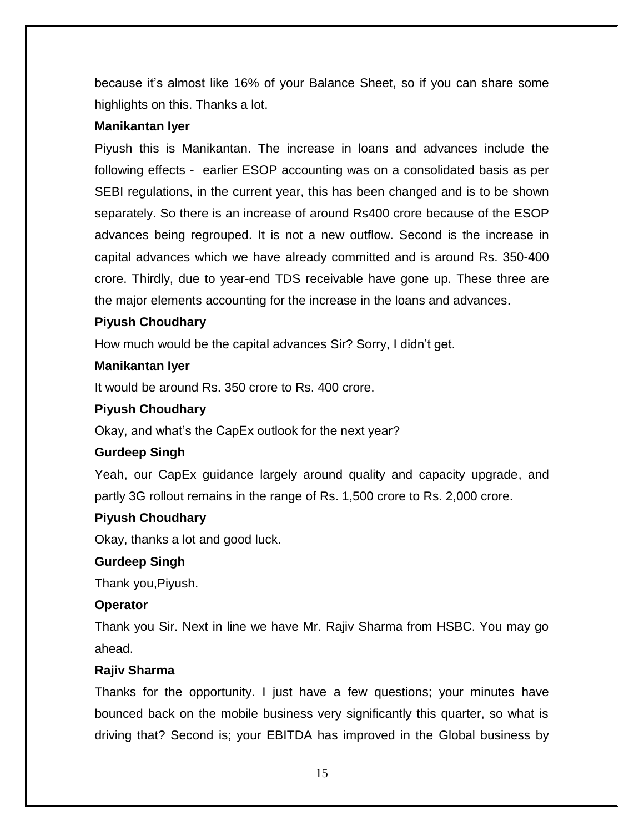because it's almost like 16% of your Balance Sheet, so if you can share some highlights on this. Thanks a lot.

## **Manikantan Iyer**

Piyush this is Manikantan. The increase in loans and advances include the following effects - earlier ESOP accounting was on a consolidated basis as per SEBI regulations, in the current year, this has been changed and is to be shown separately. So there is an increase of around Rs400 crore because of the ESOP advances being regrouped. It is not a new outflow. Second is the increase in capital advances which we have already committed and is around Rs. 350-400 crore. Thirdly, due to year-end TDS receivable have gone up. These three are the major elements accounting for the increase in the loans and advances.

## **Piyush Choudhary**

How much would be the capital advances Sir? Sorry, I didn't get.

#### **Manikantan Iyer**

It would be around Rs. 350 crore to Rs. 400 crore.

#### **Piyush Choudhary**

Okay, and what's the CapEx outlook for the next year?

## **Gurdeep Singh**

Yeah, our CapEx guidance largely around quality and capacity upgrade, and partly 3G rollout remains in the range of Rs. 1,500 crore to Rs. 2,000 crore.

#### **Piyush Choudhary**

Okay, thanks a lot and good luck.

#### **Gurdeep Singh**

Thank you,Piyush.

## **Operator**

Thank you Sir. Next in line we have Mr. Rajiv Sharma from HSBC. You may go ahead.

## **Rajiv Sharma**

Thanks for the opportunity. I just have a few questions; your minutes have bounced back on the mobile business very significantly this quarter, so what is driving that? Second is; your EBITDA has improved in the Global business by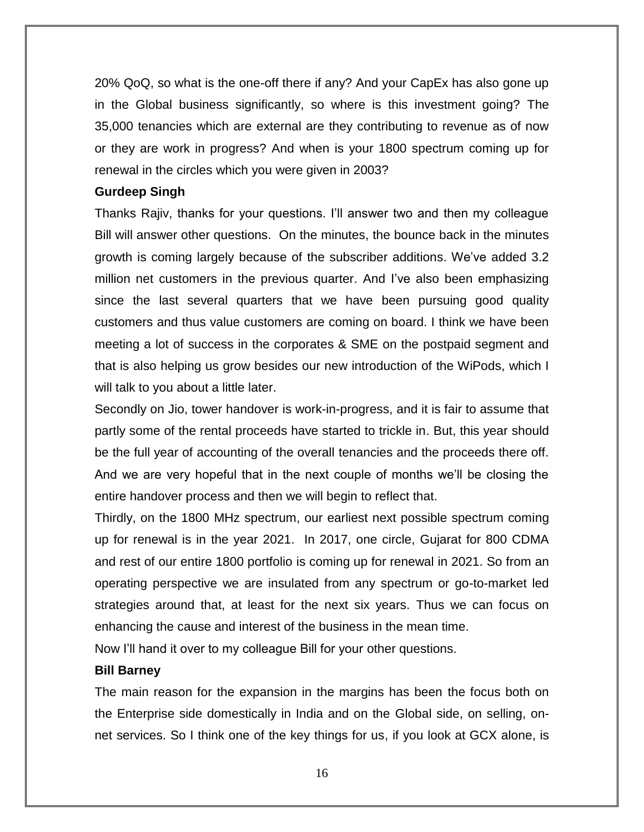20% QoQ, so what is the one-off there if any? And your CapEx has also gone up in the Global business significantly, so where is this investment going? The 35,000 tenancies which are external are they contributing to revenue as of now or they are work in progress? And when is your 1800 spectrum coming up for renewal in the circles which you were given in 2003?

#### **Gurdeep Singh**

Thanks Rajiv, thanks for your questions. I'll answer two and then my colleague Bill will answer other questions. On the minutes, the bounce back in the minutes growth is coming largely because of the subscriber additions. We've added 3.2 million net customers in the previous quarter. And I've also been emphasizing since the last several quarters that we have been pursuing good quality customers and thus value customers are coming on board. I think we have been meeting a lot of success in the corporates & SME on the postpaid segment and that is also helping us grow besides our new introduction of the WiPods, which I will talk to you about a little later.

Secondly on Jio, tower handover is work-in-progress, and it is fair to assume that partly some of the rental proceeds have started to trickle in. But, this year should be the full year of accounting of the overall tenancies and the proceeds there off. And we are very hopeful that in the next couple of months we'll be closing the entire handover process and then we will begin to reflect that.

Thirdly, on the 1800 MHz spectrum, our earliest next possible spectrum coming up for renewal is in the year 2021. In 2017, one circle, Gujarat for 800 CDMA and rest of our entire 1800 portfolio is coming up for renewal in 2021. So from an operating perspective we are insulated from any spectrum or go-to-market led strategies around that, at least for the next six years. Thus we can focus on enhancing the cause and interest of the business in the mean time.

Now I'll hand it over to my colleague Bill for your other questions.

#### **Bill Barney**

The main reason for the expansion in the margins has been the focus both on the Enterprise side domestically in India and on the Global side, on selling, onnet services. So I think one of the key things for us, if you look at GCX alone, is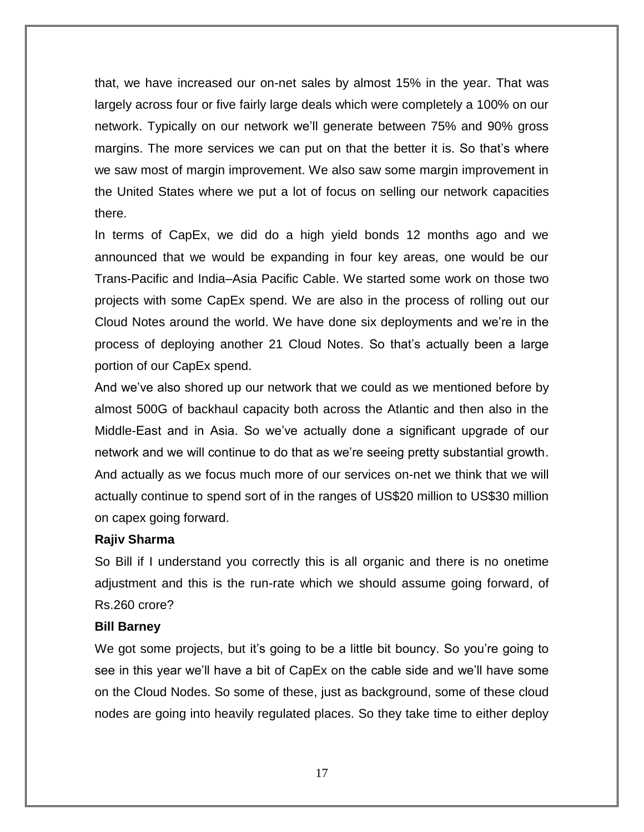that, we have increased our on-net sales by almost 15% in the year. That was largely across four or five fairly large deals which were completely a 100% on our network. Typically on our network we'll generate between 75% and 90% gross margins. The more services we can put on that the better it is. So that's where we saw most of margin improvement. We also saw some margin improvement in the United States where we put a lot of focus on selling our network capacities there.

In terms of CapEx, we did do a high yield bonds 12 months ago and we announced that we would be expanding in four key areas, one would be our Trans-Pacific and India–Asia Pacific Cable. We started some work on those two projects with some CapEx spend. We are also in the process of rolling out our Cloud Notes around the world. We have done six deployments and we're in the process of deploying another 21 Cloud Notes. So that's actually been a large portion of our CapEx spend.

And we've also shored up our network that we could as we mentioned before by almost 500G of backhaul capacity both across the Atlantic and then also in the Middle-East and in Asia. So we've actually done a significant upgrade of our network and we will continue to do that as we're seeing pretty substantial growth. And actually as we focus much more of our services on-net we think that we will actually continue to spend sort of in the ranges of US\$20 million to US\$30 million on capex going forward.

#### **Rajiv Sharma**

So Bill if I understand you correctly this is all organic and there is no onetime adjustment and this is the run-rate which we should assume going forward, of Rs.260 crore?

#### **Bill Barney**

We got some projects, but it's going to be a little bit bouncy. So you're going to see in this year we'll have a bit of CapEx on the cable side and we'll have some on the Cloud Nodes. So some of these, just as background, some of these cloud nodes are going into heavily regulated places. So they take time to either deploy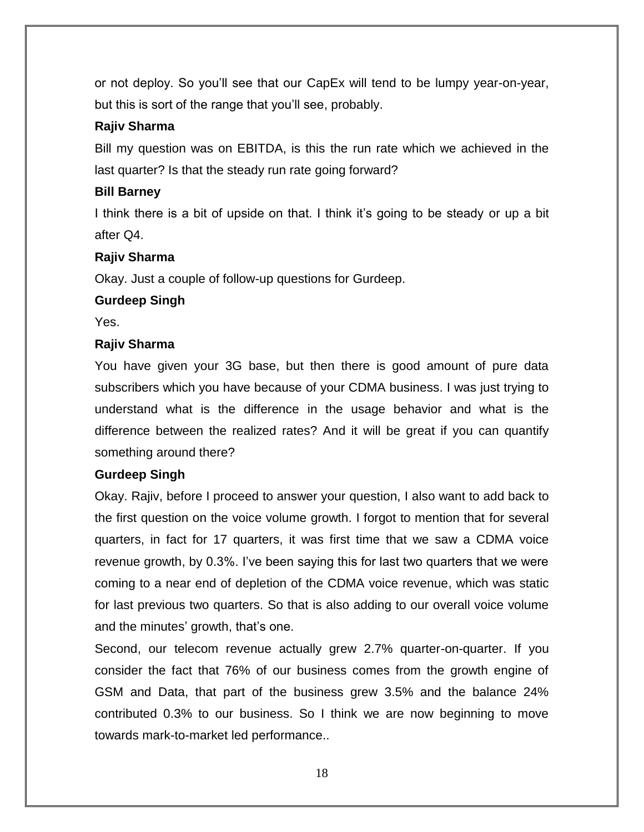or not deploy. So you'll see that our CapEx will tend to be lumpy year-on-year, but this is sort of the range that you'll see, probably.

# **Rajiv Sharma**

Bill my question was on EBITDA, is this the run rate which we achieved in the last quarter? Is that the steady run rate going forward?

## **Bill Barney**

I think there is a bit of upside on that. I think it's going to be steady or up a bit after Q4.

# **Rajiv Sharma**

Okay. Just a couple of follow-up questions for Gurdeep.

## **Gurdeep Singh**

Yes.

# **Rajiv Sharma**

You have given your 3G base, but then there is good amount of pure data subscribers which you have because of your CDMA business. I was just trying to understand what is the difference in the usage behavior and what is the difference between the realized rates? And it will be great if you can quantify something around there?

## **Gurdeep Singh**

Okay. Rajiv, before I proceed to answer your question, I also want to add back to the first question on the voice volume growth. I forgot to mention that for several quarters, in fact for 17 quarters, it was first time that we saw a CDMA voice revenue growth, by 0.3%. I've been saying this for last two quarters that we were coming to a near end of depletion of the CDMA voice revenue, which was static for last previous two quarters. So that is also adding to our overall voice volume and the minutes' growth, that's one.

Second, our telecom revenue actually grew 2.7% quarter-on-quarter. If you consider the fact that 76% of our business comes from the growth engine of GSM and Data, that part of the business grew 3.5% and the balance 24% contributed 0.3% to our business. So I think we are now beginning to move towards mark-to-market led performance..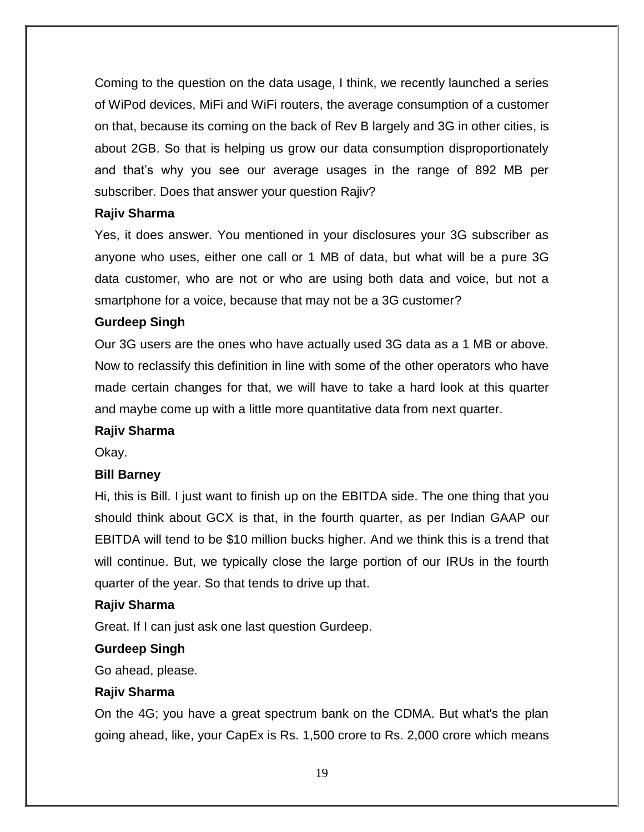Coming to the question on the data usage, I think, we recently launched a series of WiPod devices, MiFi and WiFi routers, the average consumption of a customer on that, because its coming on the back of Rev B largely and 3G in other cities, is about 2GB. So that is helping us grow our data consumption disproportionately and that's why you see our average usages in the range of 892 MB per subscriber. Does that answer your question Rajiv?

## **Rajiv Sharma**

Yes, it does answer. You mentioned in your disclosures your 3G subscriber as anyone who uses, either one call or 1 MB of data, but what will be a pure 3G data customer, who are not or who are using both data and voice, but not a smartphone for a voice, because that may not be a 3G customer?

#### **Gurdeep Singh**

Our 3G users are the ones who have actually used 3G data as a 1 MB or above. Now to reclassify this definition in line with some of the other operators who have made certain changes for that, we will have to take a hard look at this quarter and maybe come up with a little more quantitative data from next quarter.

#### **Rajiv Sharma**

Okay.

#### **Bill Barney**

Hi, this is Bill. I just want to finish up on the EBITDA side. The one thing that you should think about GCX is that, in the fourth quarter, as per Indian GAAP our EBITDA will tend to be \$10 million bucks higher. And we think this is a trend that will continue. But, we typically close the large portion of our IRUs in the fourth quarter of the year. So that tends to drive up that.

#### **Rajiv Sharma**

Great. If I can just ask one last question Gurdeep.

#### **Gurdeep Singh**

Go ahead, please.

## **Rajiv Sharma**

On the 4G; you have a great spectrum bank on the CDMA. But what's the plan going ahead, like, your CapEx is Rs. 1,500 crore to Rs. 2,000 crore which means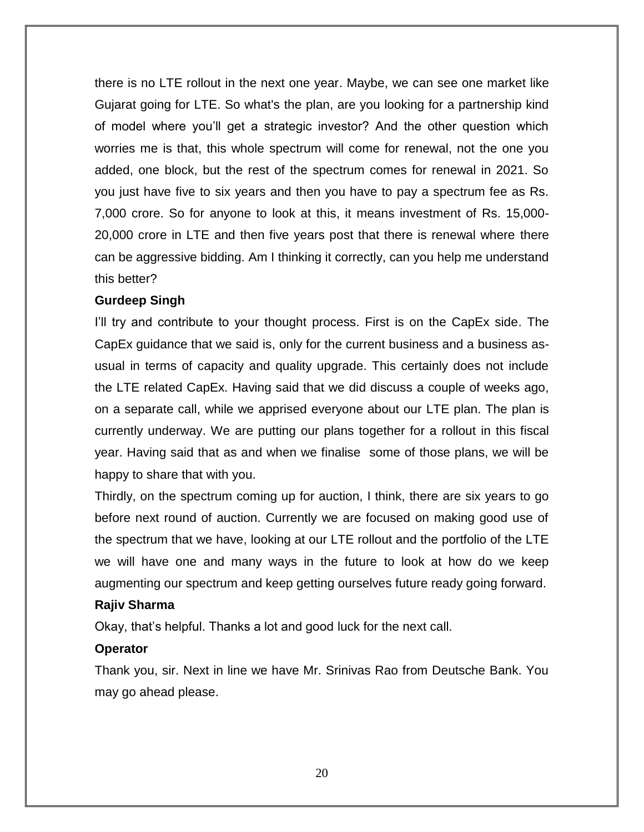there is no LTE rollout in the next one year. Maybe, we can see one market like Gujarat going for LTE. So what's the plan, are you looking for a partnership kind of model where you'll get a strategic investor? And the other question which worries me is that, this whole spectrum will come for renewal, not the one you added, one block, but the rest of the spectrum comes for renewal in 2021. So you just have five to six years and then you have to pay a spectrum fee as Rs. 7,000 crore. So for anyone to look at this, it means investment of Rs. 15,000- 20,000 crore in LTE and then five years post that there is renewal where there can be aggressive bidding. Am I thinking it correctly, can you help me understand this better?

#### **Gurdeep Singh**

I'll try and contribute to your thought process. First is on the CapEx side. The CapEx guidance that we said is, only for the current business and a business asusual in terms of capacity and quality upgrade. This certainly does not include the LTE related CapEx. Having said that we did discuss a couple of weeks ago, on a separate call, while we apprised everyone about our LTE plan. The plan is currently underway. We are putting our plans together for a rollout in this fiscal year. Having said that as and when we finalise some of those plans, we will be happy to share that with you.

Thirdly, on the spectrum coming up for auction, I think, there are six years to go before next round of auction. Currently we are focused on making good use of the spectrum that we have, looking at our LTE rollout and the portfolio of the LTE we will have one and many ways in the future to look at how do we keep augmenting our spectrum and keep getting ourselves future ready going forward.

#### **Rajiv Sharma**

Okay, that's helpful. Thanks a lot and good luck for the next call.

#### **Operator**

Thank you, sir. Next in line we have Mr. Srinivas Rao from Deutsche Bank. You may go ahead please.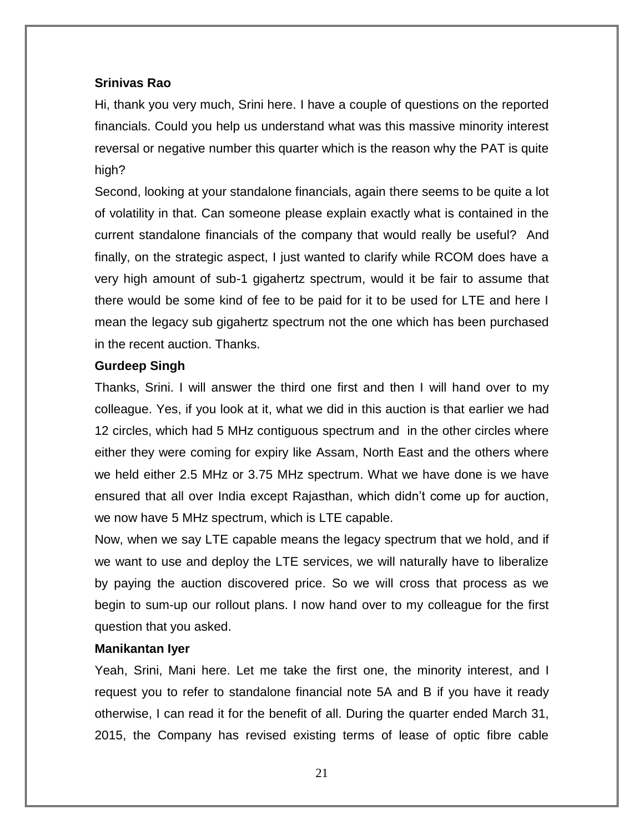## **Srinivas Rao**

Hi, thank you very much, Srini here. I have a couple of questions on the reported financials. Could you help us understand what was this massive minority interest reversal or negative number this quarter which is the reason why the PAT is quite high?

Second, looking at your standalone financials, again there seems to be quite a lot of volatility in that. Can someone please explain exactly what is contained in the current standalone financials of the company that would really be useful? And finally, on the strategic aspect, I just wanted to clarify while RCOM does have a very high amount of sub-1 gigahertz spectrum, would it be fair to assume that there would be some kind of fee to be paid for it to be used for LTE and here I mean the legacy sub gigahertz spectrum not the one which has been purchased in the recent auction. Thanks.

## **Gurdeep Singh**

Thanks, Srini. I will answer the third one first and then I will hand over to my colleague. Yes, if you look at it, what we did in this auction is that earlier we had 12 circles, which had 5 MHz contiguous spectrum and in the other circles where either they were coming for expiry like Assam, North East and the others where we held either 2.5 MHz or 3.75 MHz spectrum. What we have done is we have ensured that all over India except Rajasthan, which didn't come up for auction, we now have 5 MHz spectrum, which is LTE capable.

Now, when we say LTE capable means the legacy spectrum that we hold, and if we want to use and deploy the LTE services, we will naturally have to liberalize by paying the auction discovered price. So we will cross that process as we begin to sum-up our rollout plans. I now hand over to my colleague for the first question that you asked.

## **Manikantan Iyer**

Yeah, Srini, Mani here. Let me take the first one, the minority interest, and I request you to refer to standalone financial note 5A and B if you have it ready otherwise, I can read it for the benefit of all. During the quarter ended March 31, 2015, the Company has revised existing terms of lease of optic fibre cable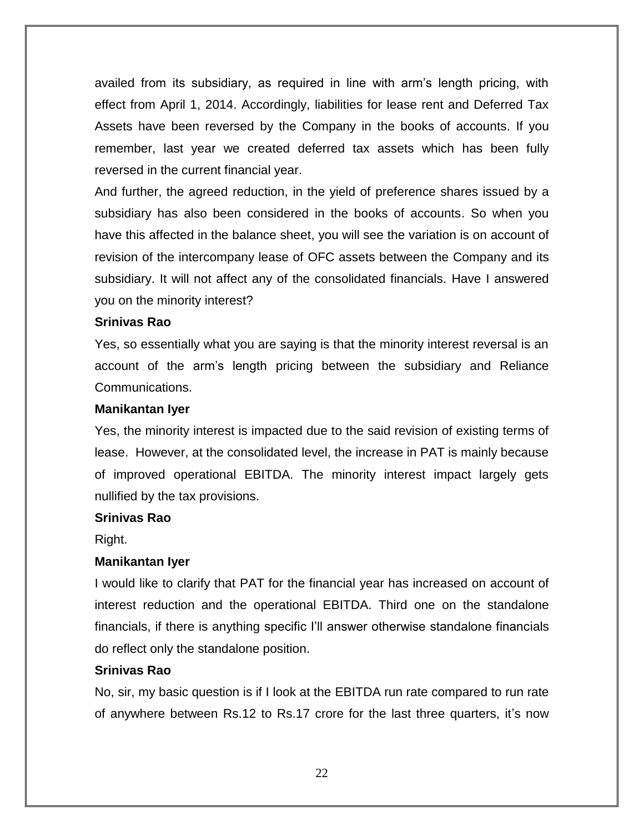availed from its subsidiary, as required in line with arm's length pricing, with effect from April 1, 2014. Accordingly, liabilities for lease rent and Deferred Tax Assets have been reversed by the Company in the books of accounts. If you remember, last year we created deferred tax assets which has been fully reversed in the current financial year.

And further, the agreed reduction, in the yield of preference shares issued by a subsidiary has also been considered in the books of accounts. So when you have this affected in the balance sheet, you will see the variation is on account of revision of the intercompany lease of OFC assets between the Company and its subsidiary. It will not affect any of the consolidated financials. Have I answered you on the minority interest?

#### **Srinivas Rao**

Yes, so essentially what you are saying is that the minority interest reversal is an account of the arm's length pricing between the subsidiary and Reliance Communications.

#### **Manikantan Iyer**

Yes, the minority interest is impacted due to the said revision of existing terms of lease. However, at the consolidated level, the increase in PAT is mainly because of improved operational EBITDA. The minority interest impact largely gets nullified by the tax provisions.

#### **Srinivas Rao**

Right.

#### **Manikantan Iyer**

I would like to clarify that PAT for the financial year has increased on account of interest reduction and the operational EBITDA. Third one on the standalone financials, if there is anything specific I'll answer otherwise standalone financials do reflect only the standalone position.

#### **Srinivas Rao**

No, sir, my basic question is if I look at the EBITDA run rate compared to run rate of anywhere between Rs.12 to Rs.17 crore for the last three quarters, it's now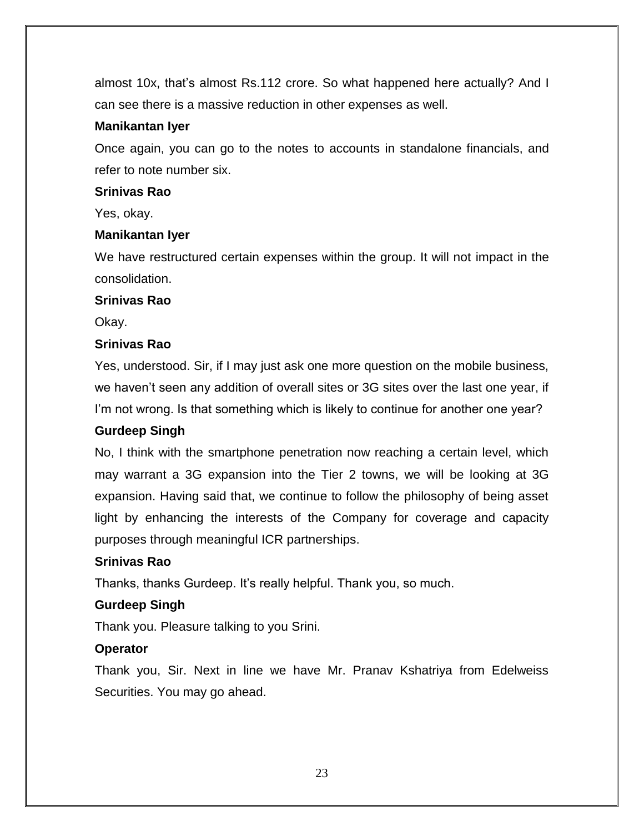almost 10x, that's almost Rs.112 crore. So what happened here actually? And I can see there is a massive reduction in other expenses as well.

#### **Manikantan Iyer**

Once again, you can go to the notes to accounts in standalone financials, and refer to note number six.

#### **Srinivas Rao**

Yes, okay.

## **Manikantan Iyer**

We have restructured certain expenses within the group. It will not impact in the consolidation.

#### **Srinivas Rao**

Okay.

## **Srinivas Rao**

Yes, understood. Sir, if I may just ask one more question on the mobile business, we haven't seen any addition of overall sites or 3G sites over the last one year, if I'm not wrong. Is that something which is likely to continue for another one year?

## **Gurdeep Singh**

No, I think with the smartphone penetration now reaching a certain level, which may warrant a 3G expansion into the Tier 2 towns, we will be looking at 3G expansion. Having said that, we continue to follow the philosophy of being asset light by enhancing the interests of the Company for coverage and capacity purposes through meaningful ICR partnerships.

## **Srinivas Rao**

Thanks, thanks Gurdeep. It's really helpful. Thank you, so much.

## **Gurdeep Singh**

Thank you. Pleasure talking to you Srini.

## **Operator**

Thank you, Sir. Next in line we have Mr. Pranav Kshatriya from Edelweiss Securities. You may go ahead.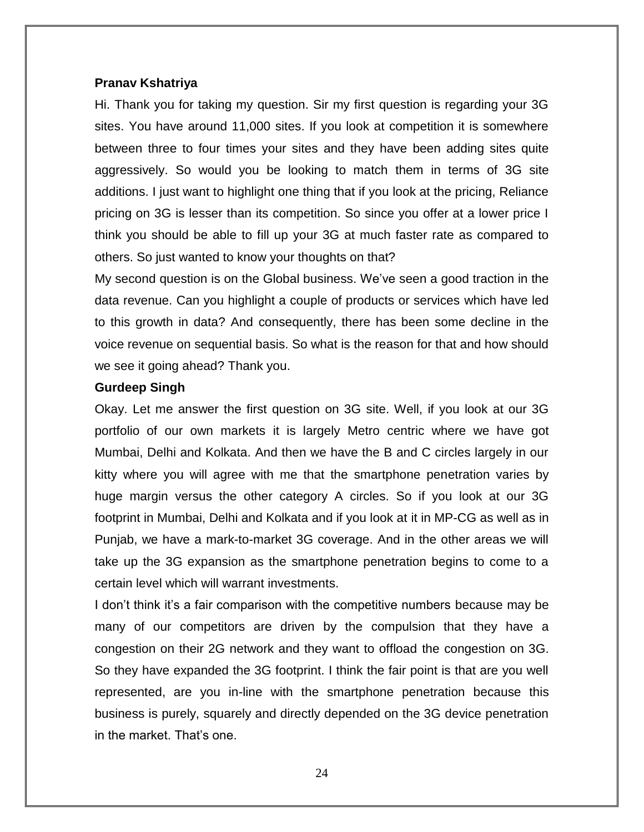#### **Pranav Kshatriya**

Hi. Thank you for taking my question. Sir my first question is regarding your 3G sites. You have around 11,000 sites. If you look at competition it is somewhere between three to four times your sites and they have been adding sites quite aggressively. So would you be looking to match them in terms of 3G site additions. I just want to highlight one thing that if you look at the pricing, Reliance pricing on 3G is lesser than its competition. So since you offer at a lower price I think you should be able to fill up your 3G at much faster rate as compared to others. So just wanted to know your thoughts on that?

My second question is on the Global business. We've seen a good traction in the data revenue. Can you highlight a couple of products or services which have led to this growth in data? And consequently, there has been some decline in the voice revenue on sequential basis. So what is the reason for that and how should we see it going ahead? Thank you.

#### **Gurdeep Singh**

Okay. Let me answer the first question on 3G site. Well, if you look at our 3G portfolio of our own markets it is largely Metro centric where we have got Mumbai, Delhi and Kolkata. And then we have the B and C circles largely in our kitty where you will agree with me that the smartphone penetration varies by huge margin versus the other category A circles. So if you look at our 3G footprint in Mumbai, Delhi and Kolkata and if you look at it in MP-CG as well as in Punjab, we have a mark-to-market 3G coverage. And in the other areas we will take up the 3G expansion as the smartphone penetration begins to come to a certain level which will warrant investments.

I don't think it's a fair comparison with the competitive numbers because may be many of our competitors are driven by the compulsion that they have a congestion on their 2G network and they want to offload the congestion on 3G. So they have expanded the 3G footprint. I think the fair point is that are you well represented, are you in-line with the smartphone penetration because this business is purely, squarely and directly depended on the 3G device penetration in the market. That's one.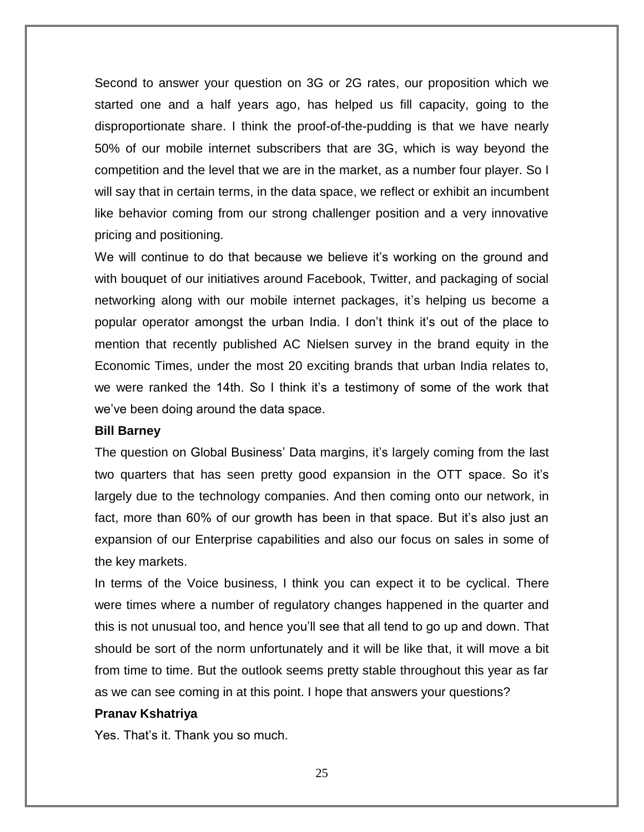Second to answer your question on 3G or 2G rates, our proposition which we started one and a half years ago, has helped us fill capacity, going to the disproportionate share. I think the proof-of-the-pudding is that we have nearly 50% of our mobile internet subscribers that are 3G, which is way beyond the competition and the level that we are in the market, as a number four player. So I will say that in certain terms, in the data space, we reflect or exhibit an incumbent like behavior coming from our strong challenger position and a very innovative pricing and positioning.

We will continue to do that because we believe it's working on the ground and with bouquet of our initiatives around Facebook, Twitter, and packaging of social networking along with our mobile internet packages, it's helping us become a popular operator amongst the urban India. I don't think it's out of the place to mention that recently published AC Nielsen survey in the brand equity in the Economic Times, under the most 20 exciting brands that urban India relates to, we were ranked the 14th. So I think it's a testimony of some of the work that we've been doing around the data space.

#### **Bill Barney**

The question on Global Business' Data margins, it's largely coming from the last two quarters that has seen pretty good expansion in the OTT space. So it's largely due to the technology companies. And then coming onto our network, in fact, more than 60% of our growth has been in that space. But it's also just an expansion of our Enterprise capabilities and also our focus on sales in some of the key markets.

In terms of the Voice business, I think you can expect it to be cyclical. There were times where a number of regulatory changes happened in the quarter and this is not unusual too, and hence you'll see that all tend to go up and down. That should be sort of the norm unfortunately and it will be like that, it will move a bit from time to time. But the outlook seems pretty stable throughout this year as far as we can see coming in at this point. I hope that answers your questions?

#### **Pranav Kshatriya**

Yes. That's it. Thank you so much.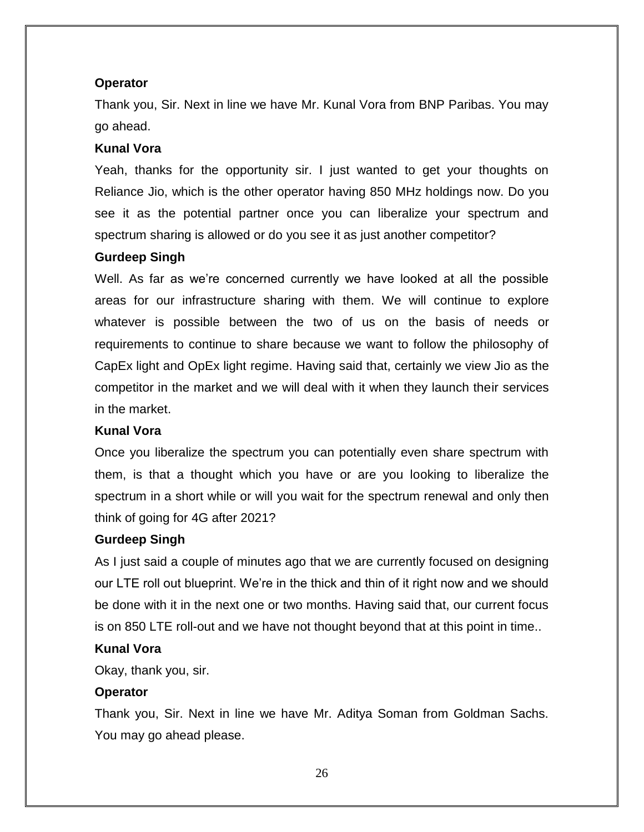#### **Operator**

Thank you, Sir. Next in line we have Mr. Kunal Vora from BNP Paribas. You may go ahead.

#### **Kunal Vora**

Yeah, thanks for the opportunity sir. I just wanted to get your thoughts on Reliance Jio, which is the other operator having 850 MHz holdings now. Do you see it as the potential partner once you can liberalize your spectrum and spectrum sharing is allowed or do you see it as just another competitor?

#### **Gurdeep Singh**

Well. As far as we're concerned currently we have looked at all the possible areas for our infrastructure sharing with them. We will continue to explore whatever is possible between the two of us on the basis of needs or requirements to continue to share because we want to follow the philosophy of CapEx light and OpEx light regime. Having said that, certainly we view Jio as the competitor in the market and we will deal with it when they launch their services in the market.

#### **Kunal Vora**

Once you liberalize the spectrum you can potentially even share spectrum with them, is that a thought which you have or are you looking to liberalize the spectrum in a short while or will you wait for the spectrum renewal and only then think of going for 4G after 2021?

## **Gurdeep Singh**

As I just said a couple of minutes ago that we are currently focused on designing our LTE roll out blueprint. We're in the thick and thin of it right now and we should be done with it in the next one or two months. Having said that, our current focus is on 850 LTE roll-out and we have not thought beyond that at this point in time..

# **Kunal Vora**

Okay, thank you, sir.

## **Operator**

Thank you, Sir. Next in line we have Mr. Aditya Soman from Goldman Sachs. You may go ahead please.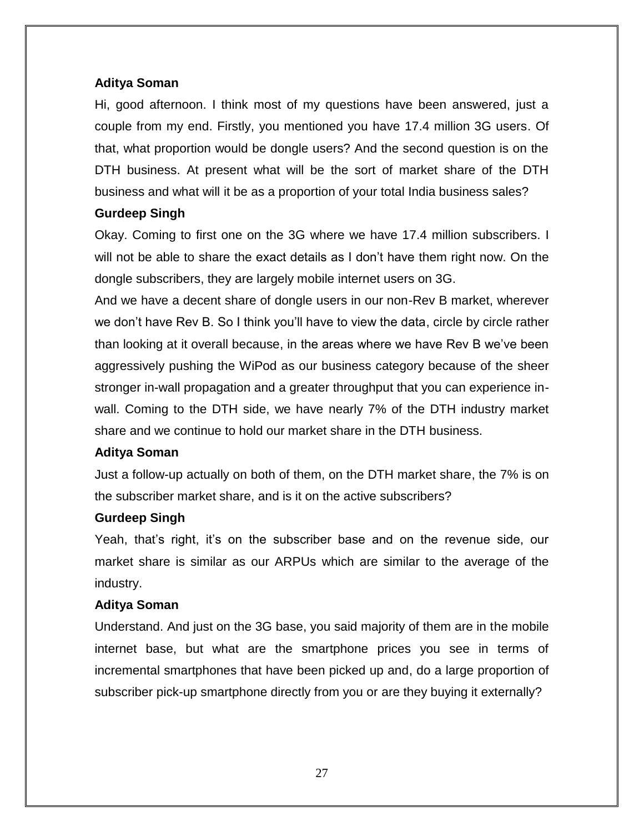## **Aditya Soman**

Hi, good afternoon. I think most of my questions have been answered, just a couple from my end. Firstly, you mentioned you have 17.4 million 3G users. Of that, what proportion would be dongle users? And the second question is on the DTH business. At present what will be the sort of market share of the DTH business and what will it be as a proportion of your total India business sales?

## **Gurdeep Singh**

Okay. Coming to first one on the 3G where we have 17.4 million subscribers. I will not be able to share the exact details as I don't have them right now. On the dongle subscribers, they are largely mobile internet users on 3G.

And we have a decent share of dongle users in our non-Rev B market, wherever we don't have Rev B. So I think you'll have to view the data, circle by circle rather than looking at it overall because, in the areas where we have Rev B we've been aggressively pushing the WiPod as our business category because of the sheer stronger in-wall propagation and a greater throughput that you can experience inwall. Coming to the DTH side, we have nearly 7% of the DTH industry market share and we continue to hold our market share in the DTH business.

#### **Aditya Soman**

Just a follow-up actually on both of them, on the DTH market share, the 7% is on the subscriber market share, and is it on the active subscribers?

#### **Gurdeep Singh**

Yeah, that's right, it's on the subscriber base and on the revenue side, our market share is similar as our ARPUs which are similar to the average of the industry.

## **Aditya Soman**

Understand. And just on the 3G base, you said majority of them are in the mobile internet base, but what are the smartphone prices you see in terms of incremental smartphones that have been picked up and, do a large proportion of subscriber pick-up smartphone directly from you or are they buying it externally?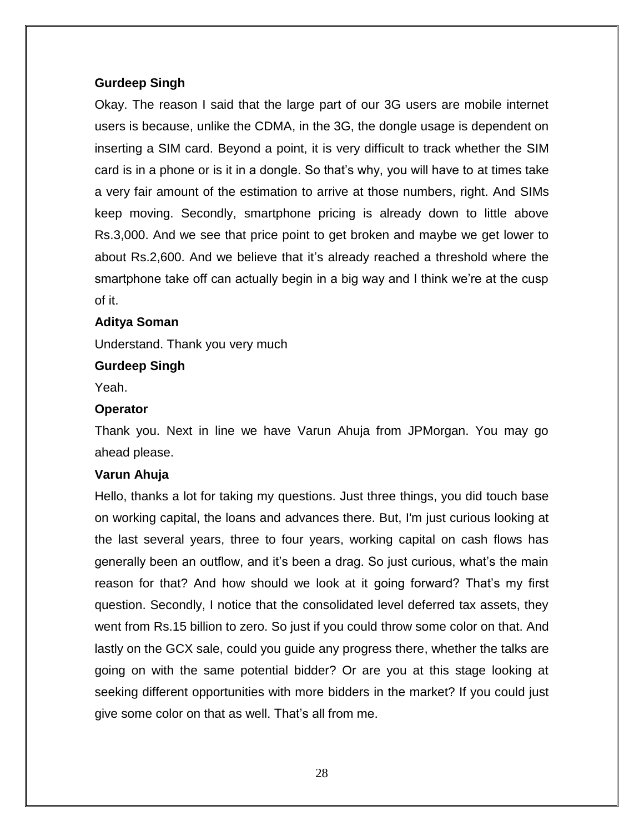#### **Gurdeep Singh**

Okay. The reason I said that the large part of our 3G users are mobile internet users is because, unlike the CDMA, in the 3G, the dongle usage is dependent on inserting a SIM card. Beyond a point, it is very difficult to track whether the SIM card is in a phone or is it in a dongle. So that's why, you will have to at times take a very fair amount of the estimation to arrive at those numbers, right. And SIMs keep moving. Secondly, smartphone pricing is already down to little above Rs.3,000. And we see that price point to get broken and maybe we get lower to about Rs.2,600. And we believe that it's already reached a threshold where the smartphone take off can actually begin in a big way and I think we're at the cusp of it.

#### **Aditya Soman**

Understand. Thank you very much

#### **Gurdeep Singh**

Yeah.

#### **Operator**

Thank you. Next in line we have Varun Ahuja from JPMorgan. You may go ahead please.

#### **Varun Ahuja**

Hello, thanks a lot for taking my questions. Just three things, you did touch base on working capital, the loans and advances there. But, I'm just curious looking at the last several years, three to four years, working capital on cash flows has generally been an outflow, and it's been a drag. So just curious, what's the main reason for that? And how should we look at it going forward? That's my first question. Secondly, I notice that the consolidated level deferred tax assets, they went from Rs.15 billion to zero. So just if you could throw some color on that. And lastly on the GCX sale, could you guide any progress there, whether the talks are going on with the same potential bidder? Or are you at this stage looking at seeking different opportunities with more bidders in the market? If you could just give some color on that as well. That's all from me.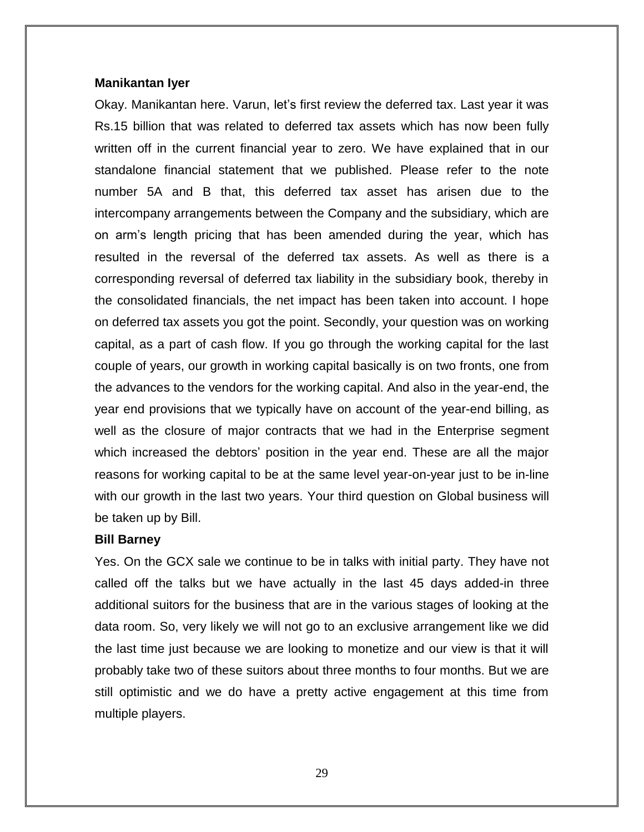#### **Manikantan Iyer**

Okay. Manikantan here. Varun, let's first review the deferred tax. Last year it was Rs.15 billion that was related to deferred tax assets which has now been fully written off in the current financial year to zero. We have explained that in our standalone financial statement that we published. Please refer to the note number 5A and B that, this deferred tax asset has arisen due to the intercompany arrangements between the Company and the subsidiary, which are on arm's length pricing that has been amended during the year, which has resulted in the reversal of the deferred tax assets. As well as there is a corresponding reversal of deferred tax liability in the subsidiary book, thereby in the consolidated financials, the net impact has been taken into account. I hope on deferred tax assets you got the point. Secondly, your question was on working capital, as a part of cash flow. If you go through the working capital for the last couple of years, our growth in working capital basically is on two fronts, one from the advances to the vendors for the working capital. And also in the year-end, the year end provisions that we typically have on account of the year-end billing, as well as the closure of major contracts that we had in the Enterprise segment which increased the debtors' position in the year end. These are all the major reasons for working capital to be at the same level year-on-year just to be in-line with our growth in the last two years. Your third question on Global business will be taken up by Bill.

#### **Bill Barney**

Yes. On the GCX sale we continue to be in talks with initial party. They have not called off the talks but we have actually in the last 45 days added-in three additional suitors for the business that are in the various stages of looking at the data room. So, very likely we will not go to an exclusive arrangement like we did the last time just because we are looking to monetize and our view is that it will probably take two of these suitors about three months to four months. But we are still optimistic and we do have a pretty active engagement at this time from multiple players.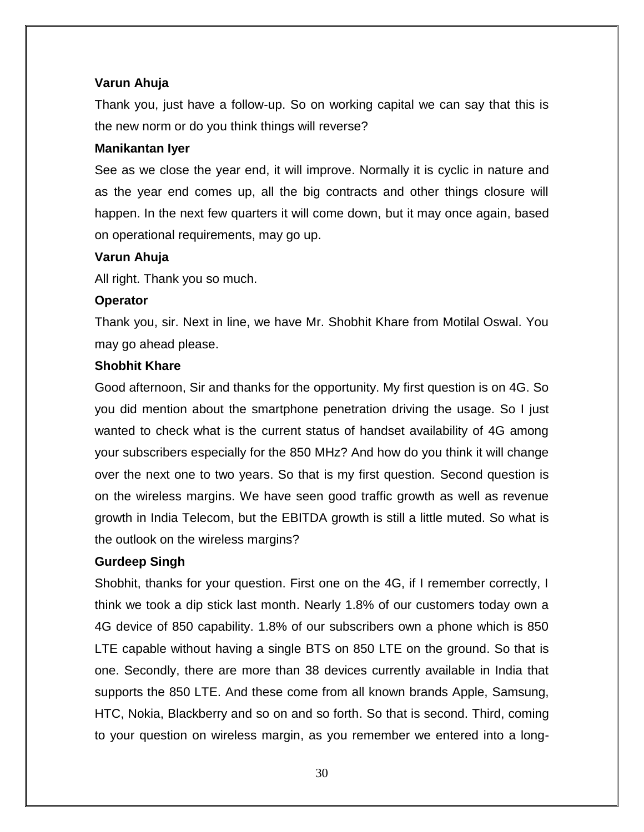#### **Varun Ahuja**

Thank you, just have a follow-up. So on working capital we can say that this is the new norm or do you think things will reverse?

#### **Manikantan Iyer**

See as we close the year end, it will improve. Normally it is cyclic in nature and as the year end comes up, all the big contracts and other things closure will happen. In the next few quarters it will come down, but it may once again, based on operational requirements, may go up.

#### **Varun Ahuja**

All right. Thank you so much.

#### **Operator**

Thank you, sir. Next in line, we have Mr. Shobhit Khare from Motilal Oswal. You may go ahead please.

## **Shobhit Khare**

Good afternoon, Sir and thanks for the opportunity. My first question is on 4G. So you did mention about the smartphone penetration driving the usage. So I just wanted to check what is the current status of handset availability of 4G among your subscribers especially for the 850 MHz? And how do you think it will change over the next one to two years. So that is my first question. Second question is on the wireless margins. We have seen good traffic growth as well as revenue growth in India Telecom, but the EBITDA growth is still a little muted. So what is the outlook on the wireless margins?

## **Gurdeep Singh**

Shobhit, thanks for your question. First one on the 4G, if I remember correctly, I think we took a dip stick last month. Nearly 1.8% of our customers today own a 4G device of 850 capability. 1.8% of our subscribers own a phone which is 850 LTE capable without having a single BTS on 850 LTE on the ground. So that is one. Secondly, there are more than 38 devices currently available in India that supports the 850 LTE. And these come from all known brands Apple, Samsung, HTC, Nokia, Blackberry and so on and so forth. So that is second. Third, coming to your question on wireless margin, as you remember we entered into a long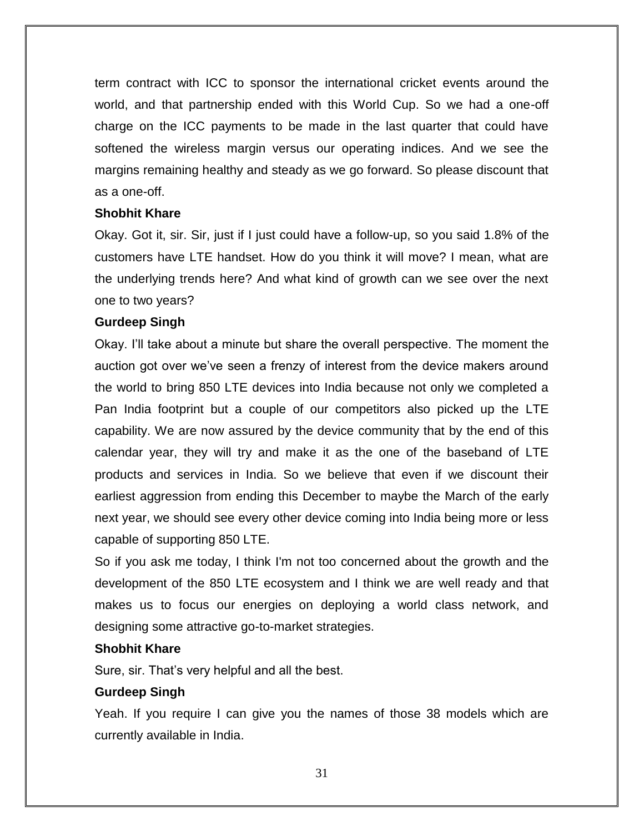term contract with ICC to sponsor the international cricket events around the world, and that partnership ended with this World Cup. So we had a one-off charge on the ICC payments to be made in the last quarter that could have softened the wireless margin versus our operating indices. And we see the margins remaining healthy and steady as we go forward. So please discount that as a one-off.

#### **Shobhit Khare**

Okay. Got it, sir. Sir, just if I just could have a follow-up, so you said 1.8% of the customers have LTE handset. How do you think it will move? I mean, what are the underlying trends here? And what kind of growth can we see over the next one to two years?

#### **Gurdeep Singh**

Okay. I'll take about a minute but share the overall perspective. The moment the auction got over we've seen a frenzy of interest from the device makers around the world to bring 850 LTE devices into India because not only we completed a Pan India footprint but a couple of our competitors also picked up the LTE capability. We are now assured by the device community that by the end of this calendar year, they will try and make it as the one of the baseband of LTE products and services in India. So we believe that even if we discount their earliest aggression from ending this December to maybe the March of the early next year, we should see every other device coming into India being more or less capable of supporting 850 LTE.

So if you ask me today, I think I'm not too concerned about the growth and the development of the 850 LTE ecosystem and I think we are well ready and that makes us to focus our energies on deploying a world class network, and designing some attractive go-to-market strategies.

## **Shobhit Khare**

Sure, sir. That's very helpful and all the best.

## **Gurdeep Singh**

Yeah. If you require I can give you the names of those 38 models which are currently available in India.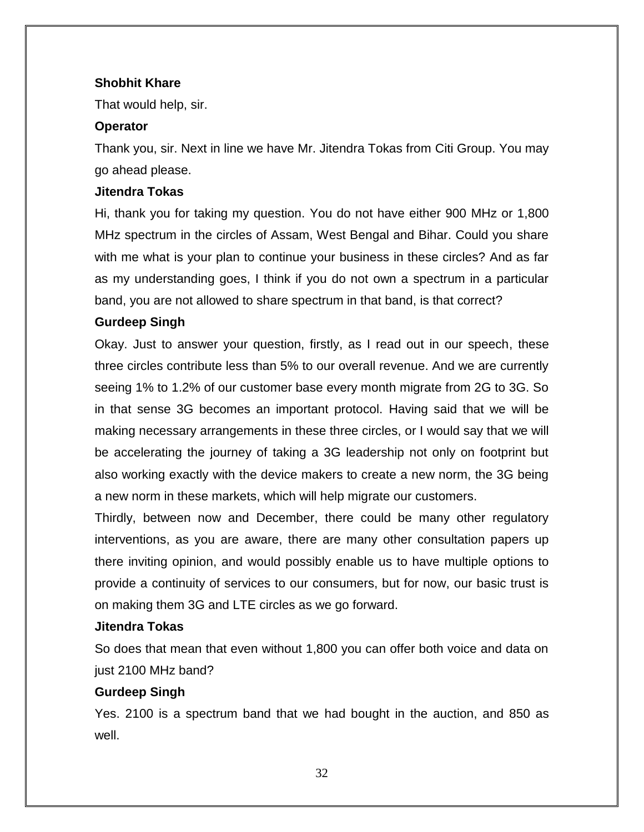## **Shobhit Khare**

That would help, sir.

#### **Operator**

Thank you, sir. Next in line we have Mr. Jitendra Tokas from Citi Group. You may go ahead please.

#### **Jitendra Tokas**

Hi, thank you for taking my question. You do not have either 900 MHz or 1,800 MHz spectrum in the circles of Assam, West Bengal and Bihar. Could you share with me what is your plan to continue your business in these circles? And as far as my understanding goes, I think if you do not own a spectrum in a particular band, you are not allowed to share spectrum in that band, is that correct?

#### **Gurdeep Singh**

Okay. Just to answer your question, firstly, as I read out in our speech, these three circles contribute less than 5% to our overall revenue. And we are currently seeing 1% to 1.2% of our customer base every month migrate from 2G to 3G. So in that sense 3G becomes an important protocol. Having said that we will be making necessary arrangements in these three circles, or I would say that we will be accelerating the journey of taking a 3G leadership not only on footprint but also working exactly with the device makers to create a new norm, the 3G being a new norm in these markets, which will help migrate our customers.

Thirdly, between now and December, there could be many other regulatory interventions, as you are aware, there are many other consultation papers up there inviting opinion, and would possibly enable us to have multiple options to provide a continuity of services to our consumers, but for now, our basic trust is on making them 3G and LTE circles as we go forward.

#### **Jitendra Tokas**

So does that mean that even without 1,800 you can offer both voice and data on just 2100 MHz band?

## **Gurdeep Singh**

Yes. 2100 is a spectrum band that we had bought in the auction, and 850 as well.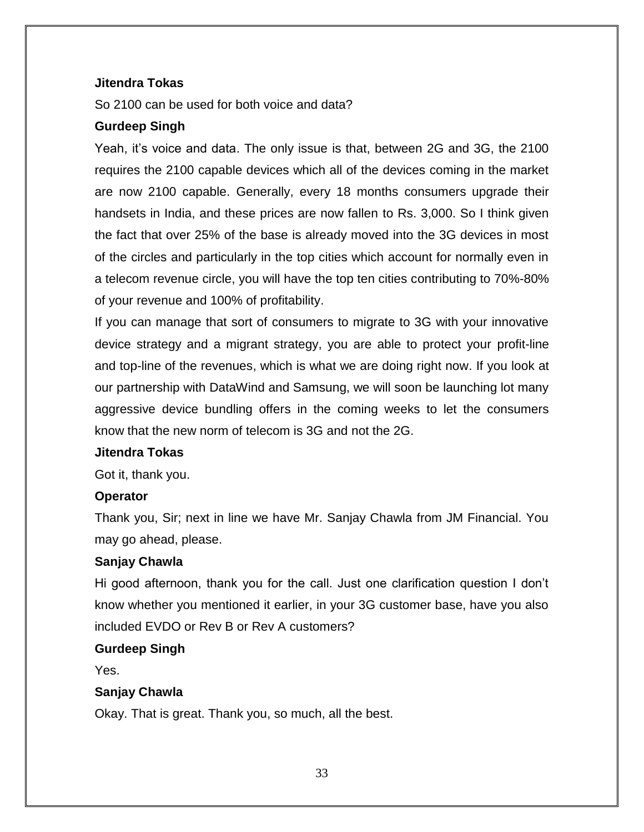#### **Jitendra Tokas**

So 2100 can be used for both voice and data?

#### **Gurdeep Singh**

Yeah, it's voice and data. The only issue is that, between 2G and 3G, the 2100 requires the 2100 capable devices which all of the devices coming in the market are now 2100 capable. Generally, every 18 months consumers upgrade their handsets in India, and these prices are now fallen to Rs. 3,000. So I think given the fact that over 25% of the base is already moved into the 3G devices in most of the circles and particularly in the top cities which account for normally even in a telecom revenue circle, you will have the top ten cities contributing to 70%-80% of your revenue and 100% of profitability.

If you can manage that sort of consumers to migrate to 3G with your innovative device strategy and a migrant strategy, you are able to protect your profit-line and top-line of the revenues, which is what we are doing right now. If you look at our partnership with DataWind and Samsung, we will soon be launching lot many aggressive device bundling offers in the coming weeks to let the consumers know that the new norm of telecom is 3G and not the 2G.

#### **Jitendra Tokas**

Got it, thank you.

#### **Operator**

Thank you, Sir; next in line we have Mr. Sanjay Chawla from JM Financial. You may go ahead, please.

## **Sanjay Chawla**

Hi good afternoon, thank you for the call. Just one clarification question I don't know whether you mentioned it earlier, in your 3G customer base, have you also included EVDO or Rev B or Rev A customers?

#### **Gurdeep Singh**

Yes.

## **Sanjay Chawla**

Okay. That is great. Thank you, so much, all the best.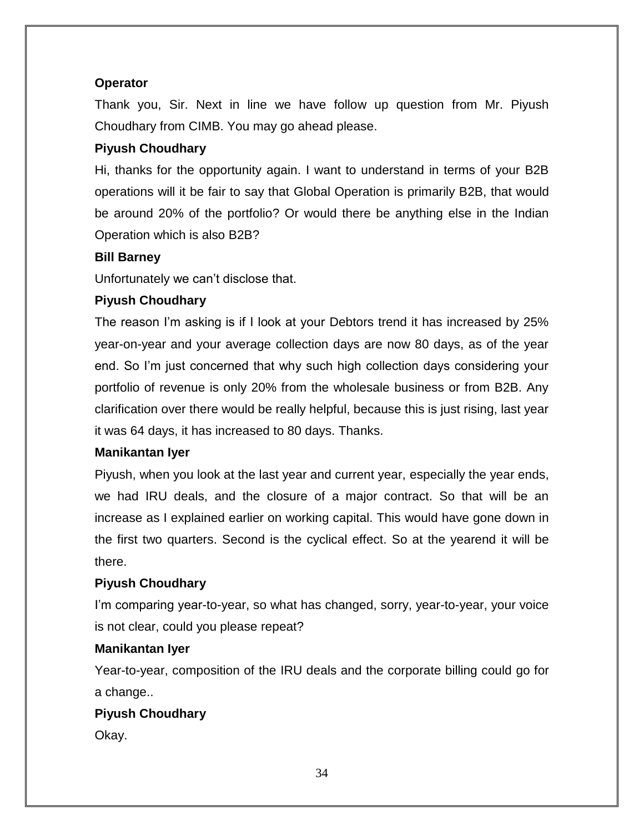# **Operator**

Thank you, Sir. Next in line we have follow up question from Mr. Piyush Choudhary from CIMB. You may go ahead please.

# **Piyush Choudhary**

Hi, thanks for the opportunity again. I want to understand in terms of your B2B operations will it be fair to say that Global Operation is primarily B2B, that would be around 20% of the portfolio? Or would there be anything else in the Indian Operation which is also B2B?

# **Bill Barney**

Unfortunately we can't disclose that.

# **Piyush Choudhary**

The reason I'm asking is if I look at your Debtors trend it has increased by 25% year-on-year and your average collection days are now 80 days, as of the year end. So I'm just concerned that why such high collection days considering your portfolio of revenue is only 20% from the wholesale business or from B2B. Any clarification over there would be really helpful, because this is just rising, last year it was 64 days, it has increased to 80 days. Thanks.

## **Manikantan Iyer**

Piyush, when you look at the last year and current year, especially the year ends, we had IRU deals, and the closure of a major contract. So that will be an increase as I explained earlier on working capital. This would have gone down in the first two quarters. Second is the cyclical effect. So at the yearend it will be there.

# **Piyush Choudhary**

I'm comparing year-to-year, so what has changed, sorry, year-to-year, your voice is not clear, could you please repeat?

## **Manikantan Iyer**

Year-to-year, composition of the IRU deals and the corporate billing could go for a change..

# **Piyush Choudhary**

Okay.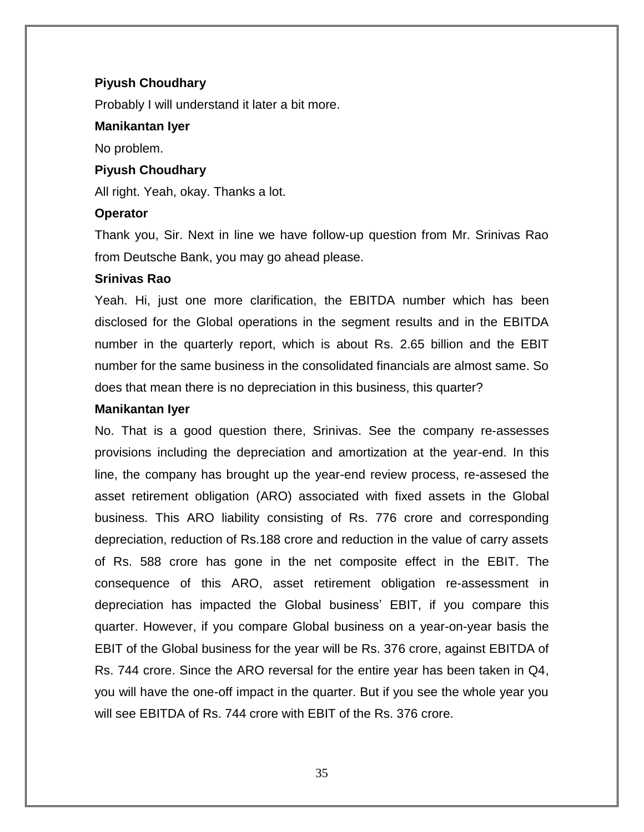#### **Piyush Choudhary**

Probably I will understand it later a bit more.

#### **Manikantan Iyer**

No problem.

#### **Piyush Choudhary**

All right. Yeah, okay. Thanks a lot.

#### **Operator**

Thank you, Sir. Next in line we have follow-up question from Mr. Srinivas Rao from Deutsche Bank, you may go ahead please.

#### **Srinivas Rao**

Yeah. Hi, just one more clarification, the EBITDA number which has been disclosed for the Global operations in the segment results and in the EBITDA number in the quarterly report, which is about Rs. 2.65 billion and the EBIT number for the same business in the consolidated financials are almost same. So does that mean there is no depreciation in this business, this quarter?

#### **Manikantan Iyer**

No. That is a good question there, Srinivas. See the company re-assesses provisions including the depreciation and amortization at the year-end. In this line, the company has brought up the year-end review process, re-assesed the asset retirement obligation (ARO) associated with fixed assets in the Global business. This ARO liability consisting of Rs. 776 crore and corresponding depreciation, reduction of Rs.188 crore and reduction in the value of carry assets of Rs. 588 crore has gone in the net composite effect in the EBIT. The consequence of this ARO, asset retirement obligation re-assessment in depreciation has impacted the Global business' EBIT, if you compare this quarter. However, if you compare Global business on a year-on-year basis the EBIT of the Global business for the year will be Rs. 376 crore, against EBITDA of Rs. 744 crore. Since the ARO reversal for the entire year has been taken in Q4, you will have the one-off impact in the quarter. But if you see the whole year you will see EBITDA of Rs. 744 crore with EBIT of the Rs. 376 crore.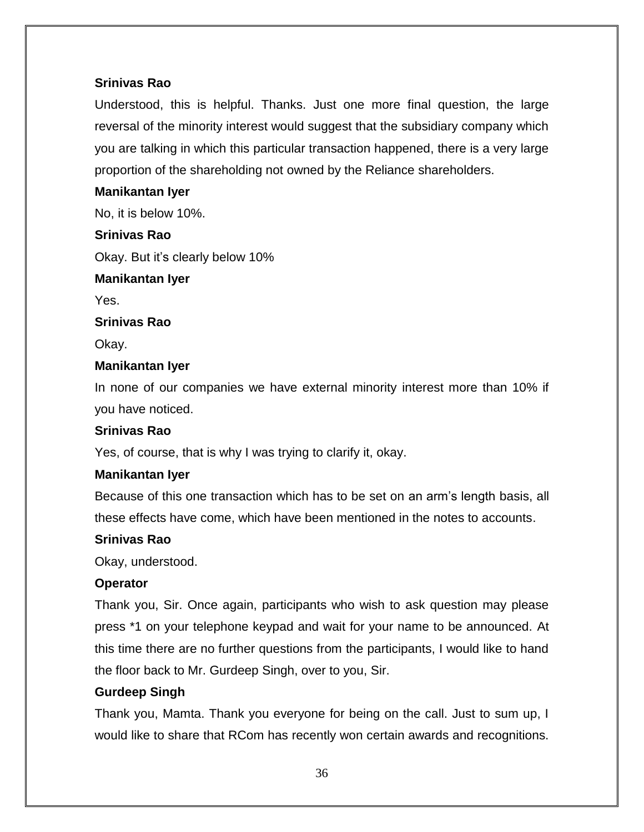# **Srinivas Rao**

Understood, this is helpful. Thanks. Just one more final question, the large reversal of the minority interest would suggest that the subsidiary company which you are talking in which this particular transaction happened, there is a very large proportion of the shareholding not owned by the Reliance shareholders.

## **Manikantan Iyer**

No, it is below 10%.

# **Srinivas Rao**

Okay. But it's clearly below 10%

## **Manikantan Iyer**

Yes.

## **Srinivas Rao**

Okay.

# **Manikantan Iyer**

In none of our companies we have external minority interest more than 10% if you have noticed.

# **Srinivas Rao**

Yes, of course, that is why I was trying to clarify it, okay.

# **Manikantan Iyer**

Because of this one transaction which has to be set on an arm's length basis, all these effects have come, which have been mentioned in the notes to accounts.

## **Srinivas Rao**

Okay, understood.

# **Operator**

Thank you, Sir. Once again, participants who wish to ask question may please press \*1 on your telephone keypad and wait for your name to be announced. At this time there are no further questions from the participants, I would like to hand the floor back to Mr. Gurdeep Singh, over to you, Sir.

# **Gurdeep Singh**

Thank you, Mamta. Thank you everyone for being on the call. Just to sum up, I would like to share that RCom has recently won certain awards and recognitions.